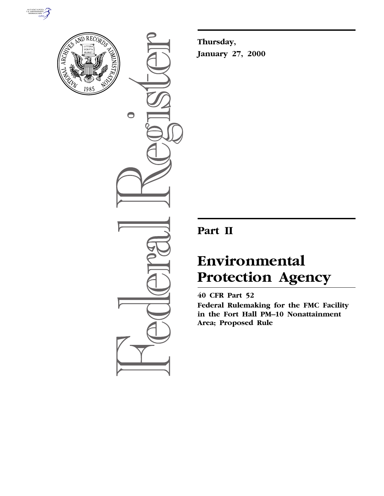



 $\bigcirc$ 

**Thursday, January 27, 2000**

## **Part II**

# **Environmental Protection Agency**

### **40 CFR Part 52**

**Federal Rulemaking for the FMC Facility in the Fort Hall PM–10 Nonattainment Area; Proposed Rule**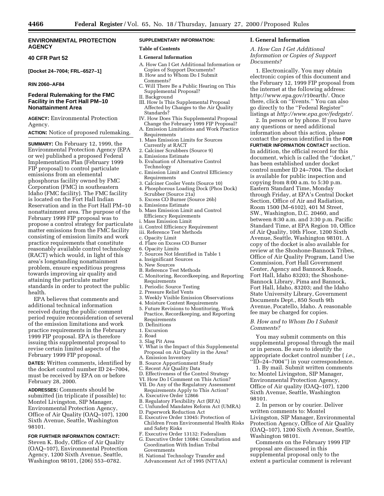#### **ENVIRONMENTAL PROTECTION AGENCY**

#### **40 CFR Part 52**

**[Docket 24–7004; FRL–6527–1]**

#### **RIN 2060–AF84**

#### **Federal Rulemaking for the FMC Facility in the Fort Hall PM–10 Nonattainment Area**

**AGENCY:** Environmental Protection Agency.

#### **ACTION:** Notice of proposed rulemaking.

**SUMMARY:** On February 12, 1999, the Environmental Protection Agency (EPA or we) published a proposed Federal Implementation Plan (February 1999 FIP proposal) to control particulate emissions from an elemental phosphorus facility owned by FMC Corporation (FMC) in southeastern Idaho (FMC facility). The FMC facility is located on the Fort Hall Indian Reservation and in the Fort Hall PM–10 nonattainment area. The purpose of the February 1999 FIP proposal was to propose a control strategy for particulate matter emissions from the FMC facility consisting of emission limits and work practice requirements that constitute reasonably available control technology (RACT) which would, in light of this area's longstanding nonattainment problem, ensure expeditious progress towards improving air quality and attaining the particulate matter standards in order to protect the public health.

EPA believes that comments and additional technical information received during the public comment period require reconsideration of several of the emission limitations and work practice requirements in the February 1999 FIP proposal. EPA is therefore issuing this supplemental proposal to revise certain limited aspects of the February 1999 FIP proposal.

**DATES:** Written comments, identified by the docket control number ID 24–7004, must be received by EPA on or before February 28, 2000.

**ADDRESSES:** Comments should be submitted (in triplicate if possible) to: Montel Livingston, SIP Manager, Environmental Protection Agency, Office of Air Quality (OAQ–107), 1200 Sixth Avenue, Seattle, Washington 98101.

**FOR FURTHER INFORMATION CONTACT:** Steven K. Body, Office of Air Quality

(OAQ–107), Environmental Protection Agency, 1200 Sixth Avenue, Seattle, Washington 98101, (206) 553–0782.

#### **SUPPLEMENTARY INFORMATION:**

#### **Table of Contents**

#### **I. General Information**

- A. How Can I Get Additional Information or Copies of Support Documents?
- B. How and to Whom Do I Submit Comments?
- C. Will There Be a Public Hearing on This Supplemental Proposal?
- II. Background
- III. How Is This Supplemental Proposal Affected by Changes to the Air Quality Standards?
- IV. How Does This Supplemental Proposal Change the February 1999 FIP Proposal?
- A. Emission Limitations and Work Practice Requirements
- 1. Mass Emission Limits for Sources Currently at RACT
- 2. Calciner Scrubbers (Source 9)
- a. Emissions Estimate
- b. Evaluation of Alternative Control Technology
- c. Emission Limit and Control Efficiency Requirements
- 3. Calciner Cooler Vents (Source 10)
- 4. Phosphorous Loading Dock (Phos Dock) Scrubber (Source 21a)
- 5. Excess CO Burner (Source 26b)
- a. Emissions Estimate
- b. Mass Emission Limit and Control Efficiency Requirements
- i. Mass Emission Limit
- ii. Control Efficiency Requirement
- iii. Reference Test Methods
- c. Opacity Limit d. Flare on Excess CO Burner
- 6. Opacity Limits
- 7. Sources Not Identified in Table 1
- a. Insignificant Sources
- b. New Sources
- B. Reference Test Methods
- C. Monitoring, Recordkeeping, and Reporting **Requirements**
- 1. Periodic Source Testing
- 2. Pressure Relief Vents
- 3. Weekly Visible Emission Observations
- 4. Moisture Content Requirements
- 5. Future Revisions to Montitoring, Work Practice, Recordkeeping, and Reporting Requirements
- D. Definitions
- 1. Excursion
- 2. Road
- 3. Slag Pit Area
- V. What is the Impact of this Supplemental Proposal on Air Quality in the Area?
- A. Emission Inventory
- B. Source Apportionment Study
- C. Recent Air Quality Data
- D. Effectiveness of the Control Strategy
- VI. How Do I Comment on This Action?
- VII. Do Any of the Regulatory Assessment Requirements Apply to This Action? A. Executive Order 12866
- B. Regulatory Flexibility Act (RFA)
- C. Unfunded Mandates Reform Act (UMRA)
- D. Paperwork Reduction Act
- E. Executive Order 13045: Protection of Children From Environmental Health Risks
- and Safety Risks F. Executive Order 13132: Federalism
- G. Executive Order 13084: Consultation and Coordination With Indian Tribal Governments
- H. National Technology Transfer and Advancement Act of 1995 (NTTAA)

#### **I. General Information**

*A. How Can I Get Additional Information or Copies of Support Documents?*

1. Electronically. You may obtain electronic copies of this document and the February 12, 1999 FIP proposal from the internet at the following address: http://www.epa.gov/r10earth/. Once there, click on ''Events.'' You can also go directly to the ''Federal Register'' listings at *http://www.epa.gov/fedrgstr/.*

2. In person or by phone. If you have any questions or need additional information about this action, please contact the person identified in the **FOR FURTHER INFORMATION CONTACT** section. In addition, the official record for this document, which is called the ''docket,'' has been established under docket control number ID 24–7004. The docket is available for public inspection and copying from 8:00 a.m. to 5:30 p.m. Eastern Standard Time, Monday through Friday, at EPA's Central Docket Section, Office of Air and Radiation, Room 1500 (M–6102), 401 M Street, SW., Washington, D.C. 20460, and between 8:30 a.m. and 3:30 p.m. Pacific Standard Time, at EPA Region 10, Office of Air Quality, 10th Floor, 1200 Sixth Avenue, Seattle, Washington 98101. A copy of the docket is also available for review at the Shoshone-Bannock Tribes, Office of Air Quality Program, Land Use Commission, Fort Hall Government Center, Agency and Bannock Roads, Fort Hall, Idaho 83203; the Shoshone-Bannock Library, Pima and Bannock, Fort Hall, Idaho, 83203; and the Idaho State University Library, Government Documents Dept., 850 South 9th Avenue, Pocatello, Idaho. A reasonable fee may be charged for copies.

#### *B. How and to Whom Do I Submit Comments?*

You may submit comments on this supplemental proposal through the mail or in person. Be sure to identify the appropriate docket control number ( *i.e.*, ''ID–24–7004'') in your correspondence.

1. By mail. Submit written comments to: Montel Livingston, SIP Manager, Environmental Protection Agency, Office of Air quality (OAQ–107), 1200 Sixth Avenue, Seattle, Washington 98101.

2. In person or by courier. Deliver written comments to: Montel Livingston, SIP Manager, Environmental Protection Agency, Office of Air Quality (OAQ–107), 1200 Sixth Avenue, Seattle, Washington 98101.

Comments on the February 1999 FIP proposal are discussed in this supplemental proposal only to the extent a particular comment is relevant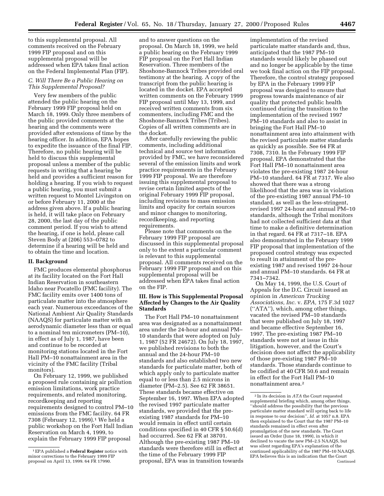to this supplemental proposal. All comments received on the February 1999 FIP proposal and on this supplemental proposal will be addressed when EPA takes final action on the Federal Implemental Plan (FIP).

#### *C. Will There Be a Public Hearing on This Supplemental Proposal?*

Very few members of the public attended the public hearing on the February 1999 FIP proposal held on March 18, 1999. Only three members of the public provided comments at the hearing and the comments were provided after extensions of time by the hearing officer. In addition, EPA hopes to expedite the issuance of the final FIP. Therefore, no public hearing will be held to discuss this supplemental proposal unless a member of the public requests in writing that a hearing be held and provides a sufficient reason for holding a hearing. If you wish to request a public hearing, you must submit a written request to Montel Livingston on or before February 11, 2000 at the address given above. If a public hearing is held, it will take place on February 28, 2000, the last day of the public comment period. If you wish to attend the hearing, if one is held, please call Steven Body at (206) 553–0782 to determine if a hearing will be held and to obtain the time and location.

#### **II. Background**

FMC produces elemental phosphorus at its facility located on the Fort Hall Indian Reservation in southeastern Idaho near Pocatello (FMC facility). The FMC facility emits over 1400 tons of particulate matter into the atmosphere each year. Numerous exceedances of the National Ambient Air Quality Standards (NAAQS) for particulate matter with an aerodynamic diameter less than or equal to a nominal ten micrometers (PM–10), in effect as of July 1, 1987, have been and continue to be recorded at monitoring stations located in the Fort Hall PM–10 nonattainment area in the vicinity of the FMC facility (Tribal monitors).

On February 12, 1999, we published a proposed rule containing air pollution emission limitations, work practice requirements, and related monitoring, recordkeeping and reporting requirements designed to control PM–10 emissions from the FMC facility. 64 FR 7308 (February 12, 1999).1 We held a public workshop on the Fort Hall Indian Reservation on March 4, 1999, to explain the February 1999 FIP proposal

and to answer questions on the proposal. On March 18, 1999, we held a public hearing on the February 1999 FIP proposal on the Fort Hall Indian Reservation. Three members of the Shoshone-Bannock Tribes provided oral testimony at the hearing. A copy of the transcript from the public hearing is located in the docket. EPA accepted written comments on the February 1999 FIP proposal until May 13, 1999, and received written comments from six commenters, including FMC and the Shoshone-Bannock Tribes (Tribes). Copies of all written comments are in the docket.

After carefully reviewing the public comments, including additional technical and source test information provided by FMC, we have reconsidered several of the emission limits and work practice requirements in the February 1999 FIP proposal. We are therefore issuing this supplemental proposal to revise certain limited aspects of the original February 1999 FIP proposal, including revisions to mass emission limits and opacity for certain sources and minor changes to monitoring, recordkeeping, and reporting requirements.

Please note that comments on the February 1999 FIP proposal are discussed in this supplemental proposal only to the extent a particular comment is relevant to this supplemental proposal. All comments received on the February 1999 FIP proposal and on this supplemental proposal will be addressed when EPA takes final action on the FIP.

#### **III. How is This Supplemental Proposal Affected by Changes to the Air Quality Standards**

The Fort Hall PM–10 nonattainment area was designated as a nonattainment area under the 24-hour and annual PM– 10 standards that were adopted on July 1, 1987 (52 FR 24672). On July 18, 1997, we published revisions to both the annual and the 24-hour PM–10 standards and also established two new standards for particulate matter, both of which apply only to particulate matter equal to or less than 2.5 microns in diameter (PM–2.5). See 62 FR 38651. These standards became effective on September 16, 1997. When EPA adopted the revised 1997 particulate matter standards, we provided that the preexisting 1987 standards for PM–10 would remain in effect until certain conditions specified in 40 CFR § 50.6(d) had occurred. See 62 FR at 38701. Although the pre-existing 1987 PM–10 standards were therefore still in effect at the time of the February 1999 FIP proposal, EPA was in transition towards

implementation of the revised particulate matter standards and, thus, anticipated that the 1987 PM–10 standards would likely be phased out and no longer be applicable by the time we took final action on the FIP proposal. Therefore, the control strategy proposed by EPA in the February 1999 FIP proposal was designed to ensure that progress towards maintenance of air quality that protected public health continued during the transition to the implementation of the revised 1997 PM–10 standards and also to assist in bringing the Fort Hall PM–10 nonattainment area into attainment with the revised particulate matter standards as quickly as possible. See 64 FR at 7308, 7310. In the February 1999 FIP proposal, EPA demonstrated that the Fort Hall PM–10 nonattainment area violates the pre-existing 1987 24-hour PM–10 standard. 64 FR at 7317. We also showed that there was a strong likelihood that the area was in violation of the pre-existing 1987 annual PM–10 standard, as well as the less-stringent, revised 1997 24-hour and annual PM–10 standards, although the Tribal monitors had not collected sufficient data at that time to make a definitive determination in that regard. 64 FR at 7317–18. EPA also demonstrated in the February 1999 FIP proposal that implementation of the proposed control strategy was expected to result in attainment of the preexisting 1987 and revised 1997 24-hour and annual PM–10 standards. 64 FR at 7341–7342.

On May 14, 1999, the U.S. Court of Appeals for the D.C. Circuit issued an opinion in *American Trucking Associations, Inc.* v. *EPA,* 175 F.3d 1027 (''ATA''), which, among other things, vacated the revised PM–10 standards that were published on July 18, 1997 and became effective September 16, 1997. The pre-existing 1987 PM–10 standards were not at issue in this litigation, however, and the Court's decision does not affect the applicability of those pre-existing 1987 PM–10 standards. Those standards continue to be codified at 40 CFR 50.6 and remain in effect for the Fort Hall PM–10 nonattainment area.2

<sup>1</sup>EPA published a **Federal Register** notice with minor corrections to the February 1999 FIP proposal on April 13, 1999. 64 FR 17990.

<sup>2</sup> In its decision in *ATA* the Court requested supplemental briefing which, among other things, ''should address the possibility that the previous particulate matter standard will spring back to life in response to our decision'', *Id.* at 1057 n.8. EPA then explained to the Court that the 1987 PM–10 standards remained in effect even after promulgation of the new standards. The Court issued an Order (June 18, 1999), in which it declined to vacate the new PM–2.5 NAAQS, but was silent regarding EPA's explanation of the continued applicability of the 1987 PM–10 NAAQS. EPA believes this is an indication that the Court Continued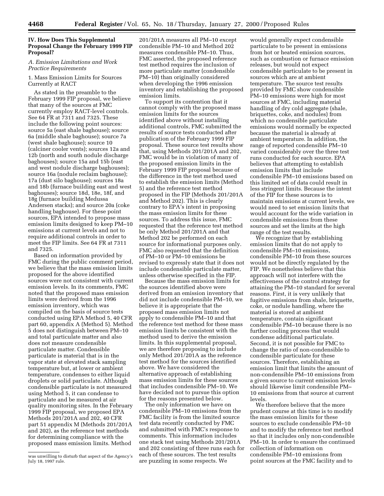#### **IV. How Does This Supplemental Proposal Change the February 1999 FIP Proposal?**

#### *A. Emission Limitations and Work Practice Requirements*

#### 1. Mass Emission Limits for Sources Currently at RACT

As stated in the preamble to the February 1999 FIP proposal, we believe that many of the sources at FMC currently employ RACT-level controls. See 64 FR at 7311 and 7325. These include the following point sources: source 5a (east shale baghouse); source 6a (middle shale baghouse); source 7a (west shale baghouse); source 10 (calciner cooler vents); sources 12a and 12b (north and south nodule discharge baghouses); source 15a and 15b (east and west nodule discharge baghouses); source 16a (nodule reclaim baghouse); 17a (dust silo baghouse); sources 18a and 18b (furnace building east and west baghouses); source 18d, 18e, 18f, and 18g (furnace building Medussa Andersen stacks); and source 20a (coke handling baghouse). For these point sources, EPA intended to propose mass emission limits designed to keep PM–10 emissions at current levels and not to require additional controls in order to meet the FIP limits. See 64 FR at 7311 and 7325.

Based on information provided by FMC during the public comment period, we believe that the mass emission limits proposed for the above identified sources were not consistent with current emission levels. In its comments, FMC noted that the proposed mass emission limits were derived from the 1996 emission inventory, which was compiled on the basis of source tests conducted using EPA Method 5, 40 CFR part 60, appendix A (Method 5). Method 5 does not distinguish between PM–10 and total particulate matter and also does not measure condensible particulate matter. Condensible particulate is material that is in the vapor state at elevated stack sampling temperature but, at lower or ambient temperature, condenses to either liquid droplets or solid particulate. Although condensible particulate is not measured using Method 5, it can condense to particulate and be measured at air quality monitoring sites. In the February 1999 FIP proposal, we proposed EPA Methods 201/201A and 202, 40 CFR part 51 appendix M (Methods 201/201A and 202), as the reference test methods for determining compliance with the proposed mass emission limits. Method

201/201A measures all PM–10 except condensible PM–10 and Method 202 measures condensible PM–10. Thus, FMC asserted, the proposed reference test method requires the inclusion of more particulate matter (condensible PM–10) than originally considered when developing the 1996 emission inventory and establishing the proposed emission limits.

To support its contention that it cannot comply with the proposed mass emission limits for the sources identified above without installing additional controls, FMC submitted the results of source tests conducted after publication of the February 1999 FIP proposal. These source test results show that, using Methods 201/201A and 202, FMC would be in violation of many of the proposed emission limits in the February 1999 FIP proposal because of the difference in the test method used to establish the emission limits (Method 5) and the reference test method proposed in the FIP (Methods 201/201A and Method 202). This is clearly contrary to EPA's intent in proposing the mass emission limits for these sources. To address this issue, FMC requested that the reference test method be only Method 201/201A and that Method 202 be performed on each source for informational purposes only. FMC also requested that the definition of PM–10 or PM–10 emissions be revised to expressly state that it does not include condensible particulate matter, unless otherwise specified in the FIP.

Because the mass emission limits for the sources identified above were derived from an emission inventory that did not include condensible PM–10, we believe it is appropriate that the proposed mass emission limits not apply to condensible PM–10 and that the reference test method for these mass emission limits be consistent with the method used to derive the emission limits. In this supplemental proposal, we are therefore proposing to include only Method 201/201A as the reference test method for the sources identified above. We have considered the alternative approach of establishing mass emission limits for these sources that includes condensible PM–10. We have decided not to pursue this option for the reasons presented below.

The only information we have on condensible PM–10 emissions from the FMC facility is from the limited source test data recently conducted by FMC and submitted with FMC's response to comments. This information includes one stack test using Methods 201/201A and 202 consisting of three runs each for each of these sources. The test results are puzzling in some respects. We

would generally expect condensible particulate to be present in emissions from hot or heated emission sources, such as combustion or furnace emission releases, but would not expect condensible particulate to be present in sources which are at ambient temperature. The source test results provided by FMC show condensible PM–10 emissions were high for most sources at FMC, including material handling of dry cold aggregate (shale, briquettes, coke, and nodules) from which no condensible particulate emissions would normally be expected because the material is already at ambient temperature. In addition, the range of reported condensible PM–10 varied considerably over the three test runs conducted for each source. EPA believes that attempting to establish emission limits that include condensible PM–10 emissions based on this limited set of data could result in less stringent limits. Because the intent of the FIP for these sources is to maintain emissions at current levels, we would need to set emission limits that would account for the wide variation in condensible emissions from these sources and set the limits at the high range of the test results.

We recognize that by establishing emission limits that do not apply to condensible PM–10 emissions, condensible PM–10 from these sources would not be directly regulated by the FIP. We nonetheless believe that this approach will not interfere with the effectiveness of the control strategy for attaining the PM–10 standard for several reasons. First, it is very unlikely that fugitive emissions from shale, briquette, coke, or nodule handling, where the material is stored at ambient temperature, contain significant condensible PM–10 because there is no further cooling process that would condense additional particulate. Second, it is not possible for FMC to change the ratio of non-condensible to condensible particulate for these sources. Therefore, establishing an emission limit that limits the amount of non-condensible PM–10 emissions from a given source to current emission levels should likewise limit condensible PM– 10 emissions from that source at current levels.

We therefore believe that the more prudent course at this time is to modify the mass emission limits for these sources to exclude condensible PM–10 and to modify the reference test method so that it includes only non-condensible PM–10. In order to ensure the continued collection of information on condensible PM–10 emissions from point sources at the FMC facility and to

was unwilling to disturb that aspect of the Agency's July 18, 1997 rule.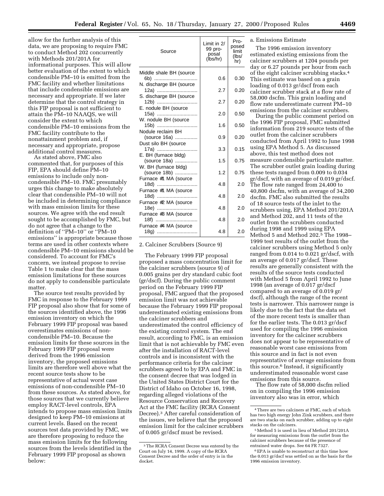allow for the further analysis of this data, we are proposing to require FMC to conduct Method 202 concurrently with Methods 201/201A for informational purposes. This will allow better evaluation of the extent to which condensible PM–10 is emitted from the FMC facility and whether limitations that include condensible emissions are necessary and appropriate. If we later determine that the control strategy in this FIP proposal is not sufficient to attain the PM–10 NAAQS, we will consider the extent to which condensible PM–10 emissions from the FMC facility contribute to the nonattainment problem and, if necessary and appropriate, propose additional control measures.

As stated above, FMC also commented that, for purposes of this FIP, EPA should define PM–10 emissions to include only noncondensible PM–10. FMC presumably urges this change to make absolutely clear that condensible PM–10 will not be included in determining compliance with mass emission limits for these sources. We agree with the end result sought to be accomplished by FMC, but do not agree that a change to the definition of ''PM–10'' or ''PM–10 emissions'' is appropriate because those terms are used in other contexts where condensible PM–10 emissions should be considered. To account for FMC's concern, we instead propose to revise Table 1 to make clear that the mass emission limitations for these sources do not apply to condensible particulate matter.

The source test results provided by FMC in response to the February 1999 FIP proposal also show that for some of the sources identified above, the 1996 emission inventory on which the February 1999 FIP proposal was based overestimates emissions of noncondensible PM–10. Because the emission limits for these sources in the February 1999 FIP proposal were derived from the 1996 emission inventory, the proposed emissions limits are therefore well above what the recent source tests show to be representative of actual worst case emissions of non-condensible PM–10 from these sources. As stated above, for those sources that we currently believe employ RACT-level controls, EPA intends to propose mass emission limits designed to keep PM–10 emissions at current levels. Based on the recent sources test data provided by FMC, we are therefore proposing to reduce the mass emission limits for the following sources from the levels identified in the February 1999 FIP proposal as shown below:

| Source                               | Limit in 2/<br>99 pro-<br>posal<br>(lbs/hr) | Pro-<br>posed<br>limit<br>(lbs/<br>hr) |
|--------------------------------------|---------------------------------------------|----------------------------------------|
| Middle shale BH (source              |                                             |                                        |
| 6b)<br>N. discharge BH (source       | 0.6                                         | 0.30                                   |
| 12a)                                 | 2.7                                         | 0.20                                   |
| S. discharge BH (source              |                                             |                                        |
| 12b)<br>E. nodule BH (source         | 2.7                                         | 0.20                                   |
| 15a)                                 | 2.0                                         | 0.50                                   |
| W. nodule BH (source<br>15b)         | 1.6                                         | 0.50                                   |
| Nodule reclaim BH                    |                                             |                                        |
| (source 16a)                         | 0.9                                         | 0.20                                   |
| Dust silo BH (source<br>17a)         | 3.3                                         | 0.15                                   |
| E. BH (furnace bldg)                 |                                             |                                        |
| (source 18a)<br>W. BH (furnace bldg) | 1.5                                         | 0.75                                   |
| (source 18b)                         | 1.2                                         | 0.75                                   |
| Furnace #1 MA (source<br>18d)        | 4.8                                         | 2.0                                    |
| Furnace #1 MA (source                |                                             |                                        |
| 18d) …………………………                      | 4.8                                         | 2.0                                    |
| Furnace #2 MA (source<br>18e)….      | 4.8                                         | 2.0                                    |
| Furnace #3 MA (source                |                                             |                                        |
| 18f)<br>Furnace #4 MA (source        | 4.8                                         | 2.0                                    |
| 18g)                                 | 4.8                                         | 2.0                                    |

2. Calciner Scrubbers (Source 9)

The February 1999 FIP proposal proposed a mass concentration limit for the calciner scrubbers (source 9) of 0.005 grains per dry standard cubic foot (gr/dscf). During the public comment period on the February 1999 FIP proposal, FMC argued that the proposed emission limit was not achievable because the February 1999 FIP proposal underestimated existing emissions from the calciner scrubbers and underestimated the control efficiency of the existing control system. The end result, according to FMC, is an emission limit that is not achievable by FMC even after the installation of RACT-level controls and is inconsistent with the performance criteria for the calciner scrubbers agreed to by EPA and FMC in the consent decree that was lodged in the United States District Court for the District of Idaho on October 16, 1998, regarding alleged violations of the Resource Conservation and Recovery Act at the FMC facility (RCRA Consent Decree).3 After careful consideration of the issues, we believe that the proposed emission limit for the calciner scrubbers of 0.005 gr/dscf must be revised.

#### a. Emissions Estimate

The 1996 emission inventory estimated existing emissions from the calciner scrubbers at 1204 pounds per day or 6.27 pounds per hour from each of the eight calciner scrubbing stacks.4 This estimate was based on a grain loading of 0.013 gr/dscf from each calciner scrubber stack at a flow rate of 58,000 dscfm. This grain loading and flow rate underestimate current PM–10 emissions from the calciner scrubbers.

During the public comment period on the 1996 FIP proposal, FMC submitted information from 219 source tests of the outlet from the calciner scrubbers conducted from April 1992 to June 1998 using EPA Method 5. As discussed above, this test method does not measure condensible particulate matter. The scrubber outlet grain loading during these tests ranged from 0.009 to 0.034 gr/dscf, with an average of 0.019 gr/dscf. The flow rate ranged from 24,400 to 40,800 dscfm, with an average of 34,200 dscfm. FMC also submitted the results of 18 source tests of the inlet to the scrubbers using, EPA Method 201/201A and Method 202, and 11 tests of the outlet from the scrubbers conducted during 1998 and 1999 using EPA Method 5 and Method 202.5 The 1998– 1999 test results of the outlet from the calciner scrubbers using Method 5 only ranged from 0.014 to 0.021 gr/dscf, with an average of 0.017 gr/dscf. These results are generally consistent with the results of the source tests conducted with Method 5 from April 1992 to June 1998 (an average of 0.017 gr/dscf compared to an average of 0.019 gr/ dscf), although the range of the recent tests is narrower. This narrower range is likely due to the fact that the data set of the more recent tests is smaller than for the earlier tests. The 0.013 gr/dscf used for compiling the 1996 emission inventory for the calciner scrubbers does not appear to be representative of reasonable worst case emissions from this source and in fact is not even representative of average emissions from this source.6 Instead, it significantly underestimated reasonable worst case emissions from this source.

The flow rate of 58,000 dscfm relied on in compiling the 1996 emission inventory also was in error, which

<sup>3</sup>The RCRA Consent Decree was entered by the Court on July 14, 1999. A copy of the RCRA Consent Decree and the order of entry is in the docket.

<sup>4</sup>There are two calciners at FMC, each of which has two high energy John Zink scrubbers, and there are two stacks on each scrubber, adding up to eight stacks on the calciners.

<sup>5</sup>Method 5 is used in lieu of Method 201/201A for measuring emissions from the outlet from the calciner scrubbers because of the presence of entrained water drops. See 64 FR 7327.

 $^6\mathrm{EPA}$  is unable to reconstruct at this time how the 0.013 gr/dscf was settled on as the basis for the 1996 emission inventory.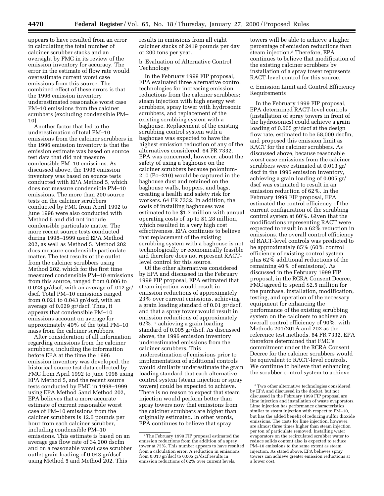appears to have resulted from an error in calculating the total number of calciner scrubber stacks and an oversight by FMC in its review of the emission inventory for accuracy. The error in the estimate of flow rate would overestimate current worst case emissions from this source. The combined effect of these errors is that the 1996 emission inventory underestimated reasonable worst case PM–10 emissions from the calciner scrubbers (excluding condensible PM– 10).

Another factor that led to the underestimation of total PM–10 emissions from the calciner scrubbers in the 1996 emission inventory is that the emission estimate was based on source test data that did not measure condensible PM–10 emissions. As discussed above, the 1996 emission inventory was based on source tests conducted with EPA Method 5, which does not measure condensible PM–10 emissions. The more than 200 source tests on the calciner scrubbers conducted by FMC from April 1992 to June 1998 were also conducted with Method 5 and did not include condensible particulate matter. The more recent source tests conducted during 1998–1999 used EPA Method 202, as well as Method 5. Method 202 does measure condensible particulate matter. The test results of the outlet from the calciner scrubbers using Method 202, which for the first time measured condensible PM–10 emissions from this source, ranged from 0.006 to 0.028 gr/dscf, with an average of .012 gr/ dscf. Total PM–10 emissions ranged from 0.021 to 0.043 gr/dscf, with an average of 0.029 gr/dscf. Thus, it appears that condensible PM–10 emissions account on average for approximately 40% of the total PM–10 mass from the calciner scrubbers.

After consideration of all information regarding emissions from the calciner scrubbers, including the information before EPA at the time the 1996 emission inventory was developed, the historical source test data collected by FMC from April 1992 to June 1998 using EPA Method 5, and the recent source tests conducted by FMC in 1998–1999 using EPA Method 5and Method 202, EPA believes that a more accurate estimate of current reasonable worst case of PM–10 emissions from the calciner scrubbers is 12.6 pounds per hour from each calciner scrubber, including condensible PM–10 emissions. This estimate is based on an average gas flow rate of 34,200 dscfm and on a reasonable worst case scrubber outlet grain loading of 0.043 gr/dscf using Method 5 and Method 202. This

results in emissions from all eight calciner stacks of 2419 pounds per day or 200 tons per year.

b. Evaluation of Alternative Control Technology

In the February 1999 FIP proposal, EPA evaluated three alternative control technologies for increasing emission reductions from the calciner scrubbers: steam injection with high energy wet scrubbers, spray tower with hydrosonic scrubbers, and replacement of the existing scrubbing system with a baghouse. Replacement of the existing scrubbing control system with a baghouse was expected to have the highest emission reduction of any of the alternatives considered. 64 FR 7332. EPA was concerned, however, about the safety of using a baghouse on the calciner scrubbers because polonium-210 (Po–210) would be captured in the baghouse dust and retained on the baghouse walls, hoppers, and bags, creating a health and safety risk for workers. 64 FR 7332. In addition, the costs of installing baghouses was estimated to be \$1.7 million with annual operating costs of up to \$1.28 million, which resulted in a very high cost effectiveness. EPA continues to believe that replacement of the existing scrubbing system with a baghouse is not technologically or economically feasible and therefore does not represent RACTlevel control for this source.

Of the other alternatives considered by EPA and discussed in the February 1999 FIP proposal, EPA estimated that steam injection would result in emission reductions of approximately 23% over current emissions, achieving a grain loading standard of 0.01 gr/dscf, and that a spray tower would result in emission reductions of approximately 62%, 7 achieving a grain loading standard of 0.005 gr/dscf. As discussed above, the 1996 emission inventory underestimated emissions from the calciner scrubbers. This underestimation of emissions prior to implementation of additional controls would similarly underestimate the grain loading standard that each alternative control system (steam injection or spray towers) could be expected to achieve. There is no reason to expect that steam injection would perform better than spray towers now that emissions from the calciner scrubbers are higher than originally estimated. In other words, EPA continues to believe that spray

towers will be able to achieve a higher percentage of emission reductions than steam injection.8 Therefore, EPA continues to believe that modification of the existing calciner scrubbers by installation of a spray tower represents RACT-level control for this source.

c. Emission Limit and Control Efficiency Requirements

In the February 1999 FIP proposal, EPA determined RACT-level controls (installation of spray towers in front of the hydrosonics) could achieve a grain loading of 0.005 gr/dscf at the design flow rate, estimated to be 58,000 dscfm, and proposed this emission limit as RACT for the calciner scrubbers. As discussed above, because reasonable worst case emissions from the calciner scrubbers were estimated at 0.013 gr/ dscf in the 1996 emission inventory, achieving a grain loading of 0.005 gr/ dscf was estimated to result in an emission reduction of 62%. In the February 1999 FIP proposal, EPA estimated the control efficiency of the current configuration of the scrubbing control system at 60%. Given that the modifications representing RACT were expected to result in a 62% reduction in emissions, the overall control efficiency of RACT-level controls was predicted to be approximately 85% (60% control efficiency of existing control system plus 62% additional reductions of the remaining 40% of emissions). As discussed in the February 1999 FIP proposal, in the RCRA Consent Decree, FMC agreed to spend \$2.5 million for the purchase, installation, modification, testing, and operation of the necessary equipment for enhancing the performance of the existing scrubbing system on the calciners to achieve an overall control efficiency of 90%, with Methods 201/201A and 202 as the reference test methods. 64 FR 7332. EPA therefore determined that FMC's commitment under the RCRA Consent Decree for the calciner scrubbers would be equivalent to RACT-level controls. We continue to believe that enhancing the scrubber control system to achieve

<sup>7</sup>The February 1999 FIP proposal estimated the emission reductions from the addition of a spray tower at 75%. This number appears to have resulted from a calculation error. A reduction in emissions from 0.013 gr/dscf to 0.005 gr/dscf results in emission reductions of 62% over current levels.

<sup>8</sup>Two other alternative technologies considered by EPA and discussed in the docket, but not discussed in the February 1999 FIP proposal are lime injection and installation of waste evaporators. Lime injection has performance characteristics similar to steam injection with respect to PM–10, but has the added benefit of reducing sulfur dioxide emissions. The costs for lime injection, however, are almost three times higher than steam injection per ton of particulate removed. Installing water evaporators on the recirculated scrubber water to reduce solids content also is expected to reduce PM–10 emissions to the same extent as steam injection. As stated above, EPA believes spray towers can achieve greater emission reductions at a lower cost.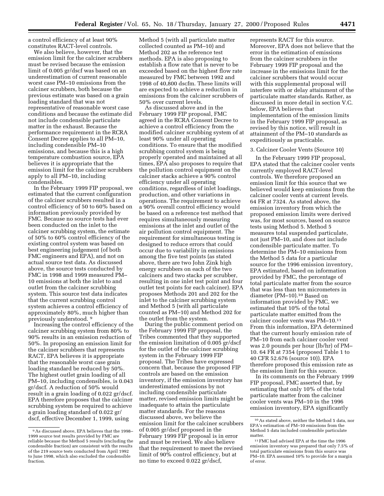a control efficiency of at least 90% constitutes RACT-level controls.

We also believe, however, that the emission limit for the calciner scrubbers must be revised because the emission limit of 0.005 gr/dscf was based on an underestimation of current reasonable worst case PM–10 emissions from the calciner scrubbers, both because the previous estimate was based on a grain loading standard that was not representative of reasonable worst case conditions and because the estimate did not include condensible particulate matter in the exhaust. Because the performance requirement in the RCRA Consent Decree applies to all PM–10, including condensible PM–10 emissions, and because this is a high temperature combustion source, EPA believes it is appropriate that the emission limit for the calciner scrubbers apply to all PM–10, including condensibles.

In the February 1999 FIP proposal, we estimated that the current configuration of the calciner scrubbers resulted in a control efficiency of 50 to 60% based on information previously provided by FMC. Because no source tests had ever been conducted on the inlet to the calciner scrubbing system, the estimate of 50% to 60% control efficiency of the existing control system was based on best engineering judgement (of both FMC engineers and EPA), and not on actual source test data. As discussed above, the source tests conducted by FMC in 1998 and 1999 measured PM– 10 emissions at both the inlet to and outlet from the calciner scrubbing system. This source test data indicates that the current scrubbing control system achieves a control efficiency of approximately 80%, much higher than previously understood. 9

Increasing the control efficiency of the calciner scrubbing system from 80% to 90% results in an emission reduction of 50%. In proposing an emission limit for the calciner scrubbers that represents RACT, EPA believes it is appropriate that the reasonable worst case grain loading standard be reduced by 50%. The highest outlet grain loading of all PM–10, including condensibles, is 0.043 gr/dscf. A reduction of 50% would result in a grain loading of 0.022 gr/dscf. EPA therefore proposes that the calciner scrubbing system be required to achieve a grain loading standard of 0.022 gr/ dscf, effective December 1, 1999, using

Method 5 (with all particulate matter collected counted as PM–10) and Method 202 as the reference test methods. EPA is also proposing to establish a flow rate that is never to be exceeded based on the highest flow rate measured by FMC between 1992 and 1998 of 40,800 dscfm. These limits will are expected to achieve a reduction in emissions from the calciner scrubbers of 50% over current levels.

As discussed above and in the February 1999 FIP proposal, FMC agreed in the RCRA Consent Decree to achieve a control efficiency from the modified calciner scrubbing system of at least 90% under all operating conditions. To ensure that the modified scrubbing control system is being properly operated and maintained at all times, EPA also proposes to require that the pollution control equipment on the calciner stacks achieve a 90% control efficiency under all operating conditions, regardless of inlet loadings, production, and other variations in operations. The requirement to achieve a 90% overall control efficiency would be based on a reference test method that requires simultaneously measuring emissions at the inlet and outlet of the air pollution control equipment. The requirement for simultaneous testing is designed to reduce errors that could occur due to variability in emissions among the five test points (as stated above, there are two John Zink high energy scrubbers on each of the two calciners and two stacks per scrubber, resulting in one inlet test point and four outlet test points for each calciner). EPA proposes Methods 201 and 202 for the inlet to the calciner scrubbing system and Method 5 (with all particulate counted as PM–10) and Method 202 for the outlet from the system.

During the public comment period on the February 1999 FIP proposal, the Tribes commented that they supported the emission limitation of 0.005 gr/dscf for the outlet of the calciner scrubbing system in the February 1999 FIP proposal. The Tribes have expressed concern that, because the proposed FIP controls are based on the emission inventory, if the emission inventory has underestimated emissions by not including condensible particulate matter, revised emission limits might be inadequate to attain the particulate matter standards. For the reasons discussed above, we believe the emission limit for the calciner scrubbers of 0.005 gr/dscf proposed in the February 1999 FIP proposal is in error and must be revised. We also believe that the requirement to meet the revised limit of 90% control efficiency, but at no time to exceed 0.022 gr/dscf,

represents RACT for this source. Moreover, EPA does not believe that the error in the estimation of emissions from the calciner scrubbers in the February 1999 FIP proposal and the increase in the emissions limit for the calciner scrubbers that would occur with this supplemental proposal will interfere with or delay attainment of the particulate matter standards. Rather, as discussed in more detail in section V.C. below, EPA believes that implementation of the emission limits in the February 1999 FIP proposal, as revised by this notice, will result in attainment of the PM–10 standards as expeditiously as practicable.

#### 3. Calciner Cooler Vents (Source 10)

In the February 1999 FIP proposal, EPA stated that the calciner cooler vents currently employed RACT-level controls. We therefore proposed an emission limit for this source that we believed would keep emissions from the calciner cooler vents at current levels. 64 FR at 7324. As stated above, the emission inventory from which the proposed emission limits were derived was, for most sources, based on source tests using Method 5. Method 5 measures total suspended particulate, not just PM–10, and does not include condensible particulate matter. To determine the PM–10 emissions from the Method 5 data for a particular source for the 1996 emission inventory, EPA estimated, based on information provided by FMC, the percentage of total particulate matter from the source that was less than ten micrometers in diameter (PM–10).10 Based on information provided by FMC, we estimated that 10% of the total particulate matter emitted from the calciner cooler vents was PM–10.11 From this information, EPA determined that the current hourly emission rate of PM–10 from each calciner cooler vent was 2.0 pounds per hour (lb/hr) of PM– 10. 64 FR at 7354 (proposed Table 1 to 40 CFR 52.676 (source 10)). EPA therefore proposed this emission rate as the emission limit for this source.

In its comments on the February 1999 FIP proposal, FMC asserted that, by estimating that only 10% of the total particulate matter from the calciner cooler vents was PM–10 in the 1996 emission inventory, EPA significantly

<sup>9</sup>As discussed above, EPA believes that the 1998– 1999 source test results provided by FMC are reliable because the Method 5 results (excluding the condensible fraction) are consistent with the results of the 219 source tests conducted from April 1992 to June 1998, which also excluded the condensible fraction.

<sup>10</sup>As stated above, neither the Method 5 data, nor EPA's estimation of PM–10 emissions from the Method 5 data included condensible particulate matter.

 $^{\rm 11}$  FMC had advised EPA at the time the 1996 emission inventory was prepared that only 7.5% of total particulate emissions from this source was PM–10. EPA assumed 10% to provide for a margin of error.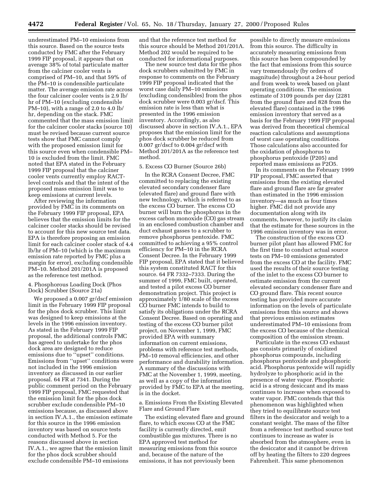underestimated PM–10 emissions from this source. Based on the source tests conducted by FMC after the February 1999 FIP proposal, it appears that on average 38% of total particulate matter from the calciner cooler vents is comprised of PM–10, and that 59% of the PM–10 is condensible particulate matter. The average emission rate across the four calciner cooler vents is 2.9 lb/ hr of PM–10 (excluding condensible PM–10), with a range of 2.0 to 4.0 lb/ hr, depending on the stack. FMC commented that the mass emission limit for the calciner cooler stacks (source 10) must be revised because current source tests show that FMC cannot comply with the proposed emission limit for this source even when condensible PM– 10 is excluded from the limit. FMC noted that EPA stated in the February 1999 FIP proposal that the calciner cooler vents currently employ RACTlevel controls and that the intent of the proposed mass emission limit was to keep emissions at current levels.

After reviewing the information provided by FMC in its comments on the February 1999 FIP proposal, EPA believes that the emission limits for the calciner cooler stacks should be revised to account for this new source test data. EPA is therefore proposing an emission limit for each calciner cooler stack of 4.4 lb/hr of PM–10 (which is the maximum emission rate reported by FMC plus a margin for error), excluding condensible PM–10. Method 201/201A is proposed as the reference test method.

#### 4. Phosphorous Loading Dock (Phos Dock) Scrubber (Source 21a)

We proposed a 0.007 gr/dscf emission limit in the February 1999 FIP proposal for the phos dock scrubber. This limit was designed to keep emissions at the levels in the 1996 emission inventory. As stated in the February 1999 FIP proposal, the additional controls FMC has agreed to undertake for the phos dock area are designed to reduce emissions due to ''upset'' conditions. Emissions from ''upset'' conditions were not included in the 1996 emission inventory as discussed in our earlier proposal. 64 FR at 7341. During the public comment period on the February 1999 FIP proposal, FMC requested that the emission limit for the phos dock scrubber exclude condensible PM–10 emissions because, as discussed above in section IV.A.1., the emission estimate for this source in the 1996 emission inventory was based on source tests conducted with Method 5. For the reasons discussed above in section IV.A.1., we agree that the emission limit for the phos dock scrubber should exclude condensible PM–10 emissions

and that the reference test method for this source should be Method 201/201A. Method 202 would be required to be conducted for informational purposes.

The new source test data for the phos dock scrubbers submitted by FMC in response to comments on the February 1999 FIP proposal indicated that the worst case daily PM–10 emissions (excluding condensibles) from the phos dock scrubber were 0.003 gr/dscf. This emission rate is less than what is presented in the 1996 emission inventory. Accordingly, as also discussed above in section IV.A.1., EPA proposes that the emission limit for the phos dock scrubber be reduced from 0.007 gr/dscf to 0.004 gr/dscf with Method 201/201A as the reference test method.

#### 5. Excess CO Burner (Source 26b)

In the RCRA Consent Decree, FMC committed to replacing the existing elevated secondary condenser flare (elevated flare) and ground flare with new technology, which is referred to as the excess CO burner. The excess CO burner will burn the phosphorus in the excess carbon monoxide (CO) gas stream in an enclosed combustion chamber and duct exhaust gasses to a scrubber to remove phosphorus pentoxide. FMC committed to achieving a 95% control efficiency for PM–10 in the RCRA Consent Decree. In the February 1999 FIP proposal, EPA stated that it believed this system constituted RACT for this source. 64 FR 7332–7333. During the summer of 1999, FMC built, operated, and tested a pilot excess CO burner demonstration project. This project is approximately 1/80 scale of the excess CO burner FMC intends to build to satisfy its obligations under the RCRA Consent Decree. Based on operating and testing of the excess CO burner pilot project, on November 1, 1999, FMC provided EPA with summary information on current emissions, problems with reference test methods, PM–10 removal efficiencies, and other performance and durability information. A summary of the discussions with FMC at the November 1, 1999, meeting, as well as a copy of the information provided by FMC to EPA at the meeting, is in the docket.

a. Emissions From the Existing Elevated Flare and Ground Flare

The existing elevated flare and ground flare, to which excess CO at the FMC facility is currently directed, emit combustible gas mixtures. There is no EPA approved test method for measuring emissions from this source and, because of the nature of the emissions, it has not previously been

possible to directly measure emissions from this source. The difficulty in accurately measuring emissions from this source has been compounded by the fact that emissions from this source vary tremendously (by orders of magnitude) throughout a 24-hour period and from week to week based on plant operating conditions. The emission estimate of 3109 pounds per day (2281 from the ground flare and 828 from the elevated flare) contained in the 1996 emission inventory that served as a basis for the February 1999 FIP proposal was derived from theoretical chemical reaction calculations and assumptions of worst case operating conditions. Those calculations also accounted for the oxidation of phosphorus to phosphorus pentoxide (P205) and reported mass emissions as P2O5.

In its comments on the February 1999 FIP proposal, FMC asserted that emissions from the existing elevated flare and ground flare are far greater than estimated in the 1996 emission inventory—as much as four times higher. FMC did not provide any documentation along with its comments, however, to justify its claim that the estimate for these sources in the 1996 emission inventory was in error.

The construction of the excess CO burner pilot plant has allowed FMC for the first time to conduct actual source tests on PM–10 emissions generated from the excess CO at the facility. FMC used the results of their source testing of the inlet to the excess CO burner to estimate emission from the current elevated secondary condenser flare and CO ground flare. This recent source testing has provided more accurate information on the levels of particulate emissions from this source and shows that previous emission estimates underestimated PM–10 emissions from the excess CO because of the chemical composition of the emission stream.

Particulate in the excess CO exhaust gas consists primarily of oxidized phosphorus compounds, including phosphorus pentoxide and phosphoric acid. Phosphorus pentoxide will rapidly hydrolyze to phosphoric acid in the presence of water vapor. Phosphoric acid is a strong desiccant and its mass continues to increase when exposed to water vapor. FMC contends that this phenomenon was highlighted when they tried to equilibrate source test filters in the desiccator and weigh to a constant weight. The mass of the filter from a reference test method source test continues to increase as water is absorbed from the atmosphere, even in the desiccator and it cannot be driven off by heating the filters to 220 degrees Fahrenheit. This same phenomenon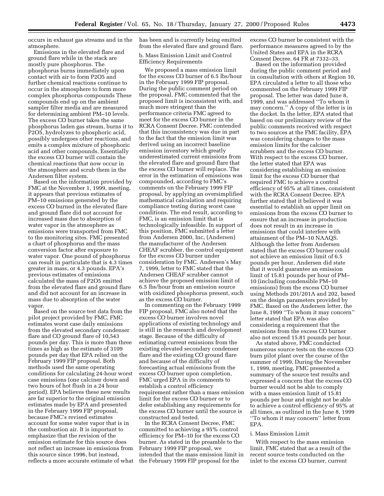occurs in exhaust gas streams and in the atmosphere.

Emissions in the elevated flare and ground flare while in the stack are mostly pure phosphorus. The phosphorus burns immediately upon contact with air to form P2O5 and further chemical reactions continue to occur in the atmosphere to form more complex phosphorus compounds These compounds end up on the ambient sampler filter media and are measured for determining ambient PM–10 levels. The excess CO burner takes the same phosphorus laden gas stream, burns it to P2O5, hydrolyzes to phosphoric acid, possibly undergoes other reactions, and emits a complex mixture of phosphoric acid and other compounds. Essentially the excess CO burner will contain the chemical reactions that now occur in the atmosphere and scrub them in the Andersen filter system.

Based on the information provided by FMC at the November 1, 1999, meeting, it appears that previous estimates of PM–10 emissions generated by the excess CO burned in the elevated flare and ground flare did not account for increased mass due to absorption of water vapor in the atmosphere as emissions were transported from FMC to the monitoring sites. FMC presented a chart of phosphorus and the mass conversion factor after exposure to water vapor. One pound of phosphorus can result in particulate that is 4.3 times greater in mass, or 4.3 pounds. EPA's previous estimates of emissions calculated the mass of P2O5 emitted from the elevated flare and ground flare and did not account for an increase in mass due to absorption of the water vapor.

Based on the source test data from the pilot project provided by FMC, FMC estimates worst case daily emissions from the elevated secondary condenser flare and CO ground flare of 10,543 pounds per day. This is more than three times as high as the estimate of 3109 pounds per day that EPA relied on the February 1999 FIP proposal. Both methods used the same operating conditions for calculating 24-hour worst case emissions (one calciner down and two hours of hot flush in a 24 hour period). EPA believes these new results are far superior to the original emission estimates made by EPA and presented in the February 1999 FIP proposal, because FMC's revised estimates account for some water vapor that is in the combustion air. It is important to emphasize that the revision of the emission estimate for this source does not reflect an increase in emissions from this source since 1996, but instead, reflects a more accurate estimate of what has been and is currently being emitted from the elevated flare and ground flare.

b. Mass Emission Limit and Control Efficiency Requirements

We proposed a mass emission limit for the excess CO burner of 6.5 lbs/hour in the February 1999 FIP proposal. During the public comment period on the proposal, FMC commented that the proposed limit is inconsistent with, and much more stringent than the performance criteria FMC agreed to meet for the excess CO burner in the RCRA Consent Decree. FMC contended that this inconsistency was due in part to the fact that the emission limit was derived using an incorrect baseline emission inventory which greatly underestimated current emissions from the elevated flare and ground flare that the excess CO burner will replace. The error in the estimation of emissions was compounded, according to FMC's comments on the February 1999 FIP proposal, by applying an oversimplified mathematical calculation and requiring compliance testing during worst case conditions. The end result, according to FMC, is an emission limit that is technologically infeasible. In support of this position, FMC submitted a letter from Andersen 2000, Inc, (Andersen) the manufacturer of the Andersen CHEAF scrubber, the control equipment for the excess CO burner under consideration by FMC. Andersen's May 7, 1999, letter to FMC stated that the Andersen CHEAF scrubber cannot achieve the proposed emission limit of 6.5 lbs/hour from an emission source with oxidized phosphorus present, such as the excess CO burner.

In commenting on the February 1999 FIP proposal, FMC also noted that the excess CO burner involves novel applications of existing technology and is still in the research and development stage. Because of the difficulty of estimating current emissions from the existing elevated secondary condenser flare and the existing CO ground flare and because of the difficulty of forecasting actual emissions from the excess CO burner upon completion, FMC urged EPA in its comments to establish a control efficiency requirement rather than a mass emission limit for the excess CO burner or to defer establishing any requirements for the excess CO burner until the source is constructed and tested.

In the RCRA Consent Decree, FMC committed to achieving a 95% control efficiency for PM–10 for the excess CO burner. As stated in the preamble to the February 1999 FIP proposal, we intended that the mass emission limit in the February 1999 FIP proposal for the

excess CO burner be consistent with the performance measures agreed to by the United States and EPA in the RCRA Consent Decree. 64 FR at 7332–33.

Based on the information provided during the public comment period and in consultation with others at Region 10, EPA circulated a letter to all those who commented on the February 1999 FIP proposal. The letter was dated June 8, 1999, and was addressed ''To whom it may concern.'' A copy of the letter is in the docket. In the letter, EPA stated that based on our preliminary review of the public comments received with respect to two sources at the FMC facility, EPA was considering changes to the mass emission limits for the calciner scrubbers and the excess CO burner. With respect to the excess CO burner, the letter stated that EPA was considering establishing an emission limit for the excess CO burner that required FMC to achieve a control efficiency of 95% at all times, consistent with the RCRA Consent Decree. EPA further stated that it believed it was essential to establish an upper limit on emissions from the excess CO burner to ensure that an increase in production does not result in an increase in emissions that could interfere with attainment of the PM–10 NAAQS. Although the letter from Andersen stated that the excess CO burner could not achieve an emission limit of 6.5 pounds per hour, Andersen did state that it would guarantee an emission limit of 15.81 pounds per hour of PM– 10 (including condensible PM–10 emissions) from the excess CO burner using Methods 201/201A and 202, based on the design parameters provided by FMC. Based on the Andersen letter, the June 8, 1999 ''To whom it may concern'' letter stated that EPA was also considering a requirement that the emissions from the excess CO burner also not exceed 15.81 pounds per hour.

As stated above, FMC conducted numerous source tests on the excess CO burn pilot plant over the course of the summer of 1999. During the November 1, 1999, meeting, FMC presented a summary of the source test results and expressed a concern that the excess CO burner would not be able to comply with a mass emission limit of 15.81 pounds per hour and might not be able to achieve a control efficiency of 95% at all times, as outlined in the June 8, 1999 ''To whom it may concern'' letter from EPA.

#### i. Mass Emission Limit

With respect to the mass emission limit, FMC stated that as a result of the recent source tests conducted on the inlet to the excess CO burner, current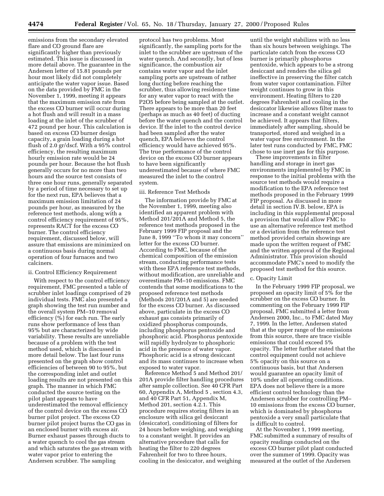emissions from the secondary elevated flare and CO ground flare are significantly higher than previously estimated. This issue is discussed in more detail above. The guarantee in the Andersen letter of 15.81 pounds per hour most likely did not completely anticipate the water vapor issue. Based on the data provided by FMC in the November 1, 1999, meeting it appears that the maximum emission rate from the excess CO burner will occur during a hot flush and will result in a mass loading at the inlet of the scrubber of 472 pound per hour. This calculation is based on excess CO burner design capacity, a grain loading during a hot flush of 2.0 gr/dscf. With a 95% control efficiency, the resulting maximum hourly emission rate would be 24 pounds per hour. Because the hot flush generally occurs for no more than two hours and the source test consists of three one hour runs, generally separated by a period of time necessary to set up for the next run, EPA believes that a maximum emission limitation of 24 pounds per hour, as measured by the reference test methods, along with a control efficiency requirement of 95%, represents RACT for the excess CO burner. The control efficiency requirement, discussed below, will assure that emissions are minimized on a continuous basis during normal operation of four furnaces and two calciners.

#### ii. Control Efficiency Requirement

With respect to the control efficiency requirement, FMC presented a table of scrubber inlet loadings comprised of 29 individual tests. FMC also presented a graph showing the test run number and the overall system PM–10 removal efficiency (%) for each run. The early runs show performance of less than 95% but are characterized by wide variability. These results are unreliable because of a problem with the test method used, which is discussed in more detail below. The last four runs presented on the graph show control efficiencies of between 90 to 95%, but the corresponding inlet and outlet loading results are not presented on this graph. The manner in which FMC conducted the source testing on the pilot plant appears to have underestimated the removal efficiency of the control device on the excess CO burner pilot project. The excess CO burner pilot project burns the CO gas in an enclosed burner with excess air. Burner exhaust passes through ducts to a water quench to cool the gas stream and which saturates the gas stream with water vapor prior to entering the Andersen scrubber. The sampling

protocol has two problems. Most significantly, the sampling ports for the inlet to the scrubber are upstream of the water quench. And secondly, but of less significance, the combustion air contains water vapor and the inlet sampling ports are upstream of rather long ducting before reaching the scrubber, thus allowing residence time for any water vapor to react with the P2O5 before being sampled at the outlet. There appears to be more than 20 feet (perhaps as much as 40 feet) of ducting before the water quench and the control device. If the inlet to the control device had been sampled after the water quench, EPA believes the control efficiency would have achieved 95%. The true performance of the control device on the excess CO burner appears to have been significantly underestimated because of where FMC measured the inlet to the control system.

#### iii. Reference Test Methods

The information provide by FMC at the November 1, 1999, meeting also identified an apparent problem with Method 201/201A and Method 5, the reference test methods proposed in the February 1999 FIP proposal and the June 8, 1999 "To whom it may concern" letter for the excess CO burner. According to FMC, because of the chemical composition of the emission stream, conducting performance tests with these EPA reference test methods, without modification, are unreliable and overestimate PM–10 emissions. FMC contends that some modifications to the proposed reference test methods (Methods 201/201A and 5) are needed for the excess CO burner. As discussed above, particulate in the excess CO exhaust gas consists primarily of oxidized phosphorus compounds, including phosphorus pentoxide and phosphoric acid. Phosphorus pentoxide will rapidly hydrolyze to phosphoric acid in the presence of water vapor. Phosphoric acid is a strong desiccant and its mass continues to increase when exposed to water vapor.

Reference Method 5 and Method 201/ 201A provide filter handling procedures after sample collection. See 40 CFR Part 60, Appendix A, Method 5 , section 4.3, and 40 CFR Part 51, Appendix M, Method 201, section 4.2.1. This procedure requires storing filters in an enclosure with silica gel desiccant (desiccator), conditioning of filters for 24 hours before weighing, and weighing to a constant weight. It provides an alternative procedure that calls for heating the filter to 220 degrees Fahrenheit for two to three hours, cooling in the desiccator, and weighing

until the weight stabilizes with no less than six hours between weighings. The particulate catch from the excess CO burner is primarily phosphorus pentoxide, which appears to be a strong desiccant and renders the silica gel ineffective in preserving the filter catch from water vapor contamination. Filter weight continues to grow in this environment. Heating filters to 220 degrees Fahrenheit and cooling in the desiccator likewise allows filter mass to increase and a constant weight cannot be achieved. It appears that filters, immediately after sampling, should be transported, stored and weighed in a water vapor free environment. In the later test runs conducted by FMC, FMC chose to use inert gas for this purpose.

These improvements in filter handling and storage in inert gas environments implemented by FMC in response to the initial problems with the source test methods would require a modification to the EPA reference test methods proposed in the February 1999 FIP proposal. As discussed in more detail in section IV.B. below, EPA is including in this supplemental proposal a provision that would allow FMC to use an alternative reference test method or a deviation from the reference test method provided certain showings are made upon the written request of FMC and the written approval of the Regional Administrator. This provision should accommodate FMC's need to modify the proposed test method for this source.

#### c. Opacity Limit

In the February 1999 FIP proposal, we proposed an opacity limit of 5% for the scrubber on the excess CO burner. In commenting on the February 1999 FIP proposal, FMC submitted a letter from Andersen 2000, Inc., to FMC dated May 7, 1999. In the letter, Andersen stated that at the upper range of the emissions from this source, there are trace visible emissions that could exceed 5% opacity. The letter further stated that the control equipment could not achieve 5% opacity on this source on a continuous basis, but that Andersen would guarantee an opacity limit of 10% under all operating conditions. EPA does not believe there is a more efficient control technology than the Andersen scrubber for controlling PM– 10 emissions from the excess CO burner, which is dominated by phosphorus pentoxide a very small particulate that is difficult to control.

At the November 1, 1999 meeting, FMC submitted a summary of results of opacity readings conducted on the excess CO burner pilot plant conducted over the summer of 1999. Opacity was measured at the outlet of the Andersen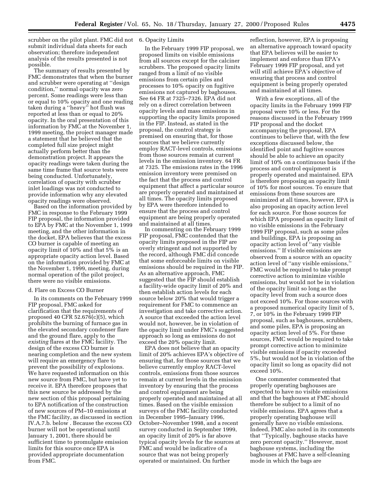scrubber on the pilot plant. FMC did not 6. Opacity Limits submit individual data sheets for each observation; therefore independent analysis of the results presented is not possible.

The summary of results presented by FMC demonstrates that when the burner and scrubber were operating at ''design condition,'' normal opacity was zero percent. Some readings were less than or equal to 10% opacity and one reading taken during a ''heavy'' hot flush was reported at less than or equal to 20% opacity. In the oral presentation of this information by FMC at the November 1, 1999 meeting, the project manager made a statement that he believed that the completed full size project might actually perform better than the demonstration project. It appears the opacity readings were taken during the same time frame that source tests were being conducted. Unfortunately, correlation of opacity with scrubber inlet loadings was not conducted to provide information why any elevated opacity readings were observed.

Based on the information provided by FMC in response to the February 1999 FIP proposal, the information provided to EPA by FMC at the November 1, 1999 meeting, and the other information in the docket, EPA believes that the excess CO burner is capable of meeting an opacity limit of 10% and that 5% is an appropriate opacity action level. Based on the information provided by FMC at the November 1, 1999, meeting, during normal operation of the pilot project, there were no visible emissions.

#### d. Flare on Excess CO Burner

In its comments on the February 1999 FIP proposal, FMC asked for clarification that the requirements of proposed 40 CFR 52.676(c)(5), which prohibits the burning of furnace gas in the elevated secondary condenser flare and the ground flare, apply to the *existing* flares at the FMC facility. The design of the excess CO burner is nearing completion and the new system will require an emergency flare to prevent the possibility of explosions. We have requested information on this new source from FMC, but have yet to receive it. EPA therefore proposes that this new source be addressed by the new section of this proposal pertaining to EPA notification of the construction of new sources of PM–10 emissions at the FMC facility, as discussed in section IV.A.7.b. below . Because the excess CO burner will not be operational until January 1, 2001, there should be sufficient time to promulgate emission limits for this source once EPA is provided appropriate documentation from FMC.

In the February 1999 FIP proposal, we proposed limits on visible emissions from all sources except for the calciner scrubbers. The proposed opacity limits ranged from a limit of no visible emissions from certain piles and processes to 10% opacity on fugitive emissions not captured by baghouses. See 64 FR at 7325–7326. EPA did not rely on a direct correlation between opacity levels and mass emissions in supporting the opacity limits proposed in the FIP. Instead, as stated in the proposal, the control strategy is premised on ensuring that, for those sources that we believe currently employ RACT-level controls, emissions from those sources remain at current levels in the emission inventory. 64 FR at 7325. The emissions rates in the 1996 emission inventory were premised on the fact that the process and control equipment that affect a particular source are properly operated and maintained at all times. The opacity limits proposed by EPA were therefore intended to ensure that the process and control equipment are being properly operated and maintained at all times.

In commenting on the February 1999 FIP proposal, FMC contended that the opacity limits proposed in the FIP are overly stringent and not supported by the record, although FMC did concede that some enforceable limits on visible emissions should be required in the FIP. As an alternative approach, FMC suggested that the FIP should establish a facility-wide opacity limit of 20% and then establish action levels for each source below 20% that would trigger a requirement for FMC to commence an investigation and take corrective action. A source that exceeded the action level would not, however, be in violation of the opacity limit under FMC's suggested approach so long as emissions do not exceed the 20% opacity limit.

EPA does not believe that an opacity limit of 20% achieves EPA's objective of ensuring that, for those sources that we believe currently employ RACT-level controls, emissions from those sources remain at current levels in the emission inventory by ensuring that the process and control equipment are being properly operated and maintained at all times. Based on the visible emission surveys of the FMC facility conducted in December 1995–January 1996, October–November 1998, and a recent survey conducted in September 1999, an opacity limit of 20% is far above typical opacity levels for the sources at FMC and would be indicative of a source that was not being properly operated or maintained. On further

reflection, however, EPA is proposing an alternative approach toward opacity that EPA believes will be easier to implement and enforce than EPA's February 1999 FIP proposal, and yet will still achieve EPA's objective of ensuring that process and control equipment is being properly operated and maintained at all times.

With a few exceptions, all of the opacity limits in the February 1999 FIP proposal were 10% or less. For the reasons discussed in the February 1999 FIP proposal and the docket accompanying the proposal, EPA continues to believe that, with the few exceptions discussed below, the identified point and fugitive sources should be able to achieve an opacity limit of 10% on a continuous basis if the process and control equipment is properly operated and maintained. EPA is therefore proposing an opacity limit of 10% for most sources. To ensure that emissions from these sources are minimized at all times, however, EPA is also proposing an opacity action level for each source. For those sources for which EPA proposed an opacity limit of no visible emissions in the February 1999 FIP proposal, such as some piles and buildings, EPA is proposing an opacity action level of ''any visible emissions.'' If visible emissions are observed from a source with an opacity action level of ''any visible emissions,'' FMC would be required to take prompt corrective action to minimize visible emissions, but would not be in violation of the opacity limit so long as the opacity level from such a source does not exceed 10%. For those sources with a proposed numerical opacity limit of 5, 7, or 10% in the February 1999 FIP proposal, such as baghouses, scrubbers, and some piles, EPA is proposing an opacity action level of 5%. For these sources, FMC would be required to take prompt corrective action to minimize visible emissions if opacity exceeded 5%, but would not be in violation of the opacity limit so long as opacity did not exceed 10%.

One commenter commented that properly operating baghouses are expected to have no visible emissions and that the baghouses at FMC should therefore be subject to a limit of no visible emissions. EPA agrees that a properly operating baghouse will generally have no visible emissions. Indeed, FMC also noted in its comments that ''Typically, baghouse stacks have zero percent opacity.'' However, most baghouse systems, including the baghouses at FMC have a self-cleaning mode in which the bags are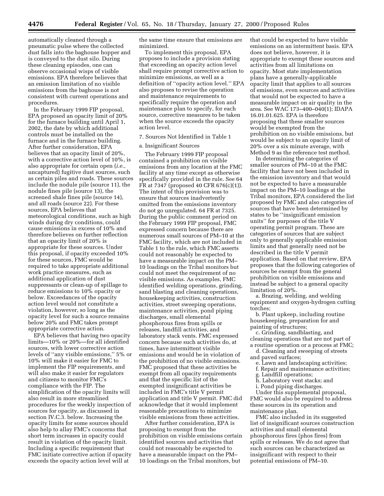automatically cleaned through a pneumatic pulse where the collected dust falls into the baghouse hopper and is conveyed to the dust silo. During these cleaning episodes, one can observe occasional wisps of visible emissions. EPA therefore believes that an emission limitation of no visible emissions from the baghouse is not consistent with current operations and procedures.

In the February 1999 FIP proposal, EPA proposed an opacity limit of 20% for the furnace building until April 1, 2002, the date by which additional controls must be installed on the furnace and in the furnace building. After further consideration, EPA believes that an opacity limit of 20%, with a corrective action level of 10%, is also appropriate for certain open (*i.e.,* uncaptured) fugitive dust sources, such as certain piles and roads. These sources include the nodule pile (source 11), the nodule fines pile (source 13), the screened shale fines pile (source 14), and all roads (source 22). For these sources, EPA believes that meteorological conditions, such as high winds during dry conditions, could cause emissions in excess of 10% and therefore believes on further reflection that an opacity limit of 20% is appropriate for these sources. Under this proposal, if opacity exceeded 10% for these sources, FMC would be required to take appropriate additional work practice measures, such as additional application of dust suppressants or clean-up of spillage to reduce emissions to 10% opacity or below. Exceedances of the opacity action level would not constitute a violation, however, so long as the opacity level for such a source remains below 20% and FMC takes prompt appropriate corrective action.

EPA believes that having two opacity limits—10% or 20%—for all identified sources, with lower corrective action levels of ''any visible emissions,'' 5% or 10% will make it easier for FMC to implement the FIP requirements, and will also make it easier for regulators and citizens to monitor FMC's compliance with the FIP. The simplification of the opacity limits will also result in more streamlined procedures for the weekly inspection of sources for opacity, as discussed in section IV.C.3. below. Increasing the opacity limits for some sources should also help to allay FMC's concerns that short term increases in opacity could result in violation of the opacity limit. Including a specific requirement that FMC initiate corrective action if opacity exceeds the opacity action level will at

the same time ensure that emissions are minimized.

To implement this proposal, EPA proposes to include a provision stating that exceeding an opacity action level shall require prompt corrective action to minimize emissions, as well as a definition of ''opacity action level.'' EPA also proposes to revise the operation and maintenance requirements to specifically require the operation and maintenance plan to specify, for each source, corrective measures to be taken when the source exceeds the opacity action level.

#### 7. Sources Not Identified in Table 1

#### a. Insignificant Sources

The February 1999 FIP proposal contained a prohibition on visible emissions from any location at the FMC facility at any time except as otherwise specifically provided in the rule. See 64 FR at 7347 (proposed 40 CFR 676(c)(1)). The intent of this provision was to ensure that sources inadvertently omitted from the emissions inventory do not go unregulated. 64 FR at 7325. During the public comment period on the February 1999 FIP proposal, FMC expressed concern because there are numerous small sources of PM–10 at the FMC facility, which are not included in Table 1 to the rule, which FMC asserts could not reasonably be expected to have a measurable impact on the PM– 10 loadings on the Tribal monitors but could not meet the requirement of no visible emissions. As examples, FMC identified welding operations, grinding, sand blasting and cleaning operations, housekeeping activities, construction activities, street sweeping operations, maintenance activities, pond piping discharges, small elemental phosphorous fires from spills or releases, landfill activities, and laboratory stack vents. FMC expressed concern because such activities do, at times, have intermittent visible emissions and would be in violation of the prohibition of no visible emissions. FMC proposed that these activities be exempt from all opacity requirements and that the specific list of the exempted insignificant activities be included in FMC's title V permit application and title V permit. FMC did acknowledge that it would implement reasonable precautions to minimize visible emissions from these activities.

After further consideration, EPA is proposing to exempt from the prohibition on visible emissions certain identified sources and activities that could not reasonably be expected to have a measurable impact on the PM– 10 loadings on the Tribal monitors, but

that could be expected to have visible emissions on an intermittent basis. EPA does not believe, however, it is appropriate to exempt these sources and activities from all limitations on opacity. Most state implementation plans have a generally-applicable opacity limit that applies to all sources of emissions, even sources and activities that would not be expected to have a measurable impact on air quality in the area. See WAC 173–400–040(1); IDAPA 16.01.01.625. EPA is therefore proposing that these smaller sources would be exempted from the prohibition on no visible emissions, but would be subject to an opacity limit of 20% over a six minute average, with Method 9 as the reference test method.

In determining the categories of smaller sources of PM–10 at the FMC facility that have not been included in the emission inventory and that would not be expected to have a measurable impact on the PM–10 loadings at the Tribal monitors, EPA considered the list proposed by FMC and also categories of sources that have been determined by states to be ''insignificant emission units'' for purposes of the title V operating permit program. These are categories of sources that are subject only to generally applicable emission limits and that generally need not be described in the title V permit application. Based on that review, EPA proposes that the following categories of sources be exempt from the general prohibition on visible emissions and instead be subject to a general opacity limitation of 20%.

a. Brazing, welding, and welding equipment and oxygen-hydrogen cutting torches;

b. Plant upkeep, including routine housekeeping, preparation for and painting of structures;

c. Grinding, sandblasting, and cleaning operations that are not part of a routine operation or a process at FMC;

d. Cleaning and sweeping of streets and paved surfaces;

- e. Lawn and landscaping activities;
- f. Repair and maintenance activities;
- g. Landfill operations;
- h. Laboratory vent stacks; and
- i. Pond piping discharges.

Under this supplemental proposal, FMC would also be required to address these sources in its operation and maintenance plan.

FMC also included in its suggested list of insignificant sources construction activities and small elemental phosphorous fires (phos fires) from spills or releases. We do not agree that such sources can be characterized as insignificant with respect to their potential emissions of PM–10.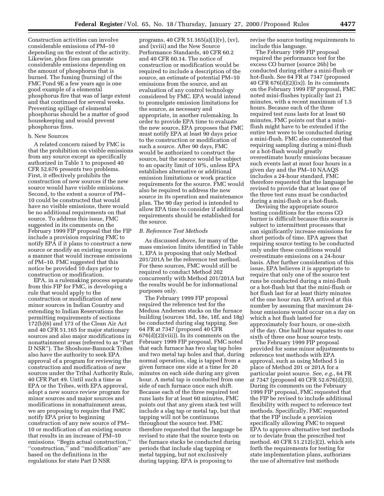Construction activities can involve considerable emissions of PM–10 depending on the extent of the activity. Likewise, phos fires can generate considerable emissions depending on the amount of phosphorus that is burned. The fuming (burning) of the FMC Pond 9E a few years ago is one good example of a elemental phosphorus fire that was of large extent and that continued for several weeks. Preventing spillage of elemental phosphorus should be a matter of good housekeeping and would prevent phosphorus fires.

#### b. New Sources

A related concern raised by FMC is that the prohibition on visible emissions from any source except as specifically authorized in Table 1 to proposed 40 CFR 52.676 presents two problems. First, it effectively prohibits the construction of new sources if the new source would have visible emissions. Second, to the extent a source of PM– 10 could be constructed that would have no visible emissions, there would be no additional requirements on that source. To address this issue, FMC suggested in its comments on the February 1999 FIP proposal that the FIP include a provision requiring FMC to notify EPA if it plans to construct a new source or modify an existing source in a manner that would increase emissions of PM–10. FMC suggested that this notice be provided 10 days prior to construction or modification.

EPA, in a rulemaking process separate from this FIP for FMC, is developing a rule that would apply to the construction or modification of new minor sources in Indian Country and extending to Indian Reservations the permitting requirements of sections 172(b)(6) and 173 of the Clean Air Act and 40 CFR 51.165 for major stationary sources and also major modifications in nonattainment areas (referred to as ''Part D NSR''). The Shoshone-Bannock Tribes also have the authority to seek EPA approval of a program for reviewing the construction and modification of new sources under the Tribal Authority Rule, 40 CFR Part 49. Until such a time as EPA or the Tribes, with EPA approval, adopt a new source review program for minor sources and major sources and modifications in nonattainment areas, we are proposing to require that FMC notify EPA prior to beginning construction of any new source of PM– 10 or modification of an existing source that results in an increase of PM–10 emissions. ''Begin actual construction,'' ''construction,'' and ''modification'' are based on the definitions in the regulations for state Part D NSR

programs, 40 CFR 51.165(a)(1)(v), (xv), and (xviii) and the New Source Performance Standards, 40 CFR 60.2 and 40 CFR 60.14. The notice of construction or modification would be required to include a description of the source, an estimate of potential PM–10 emissions from the source, and an evaluation of any control technology considered by FMC. EPA would intend to promulgate emission limitations for the source, as necessary and appropriate, in another rulemaking. In order to provide EPA time to evaluate the new source, EPA proposes that FMC must notify EPA at least 90 days prior to the construction or modification of such a source. After 90 days, FMC would be authorized to construct the source, but the source would be subject to an opacity limit of 10%, unless EPA establishes alternative or additional emission limitations or work practice requirements for the source. FMC would also be required to address the new source in its operation and maintenance plan. The 90 day period is intended to allow EPA time to consider if additional requirements should be established for the source.

#### *B. Reference Test Methods*

As discussed above, for many of the mass emission limits identified in Table 1, EPA is proposing that only Method 201/201A be the reference test method. For these sources, FMC would still be required to conduct Method 202 concurrently with Method 201/201A but the results would be for informational purposes only.

The February 1999 FIP proposal required the reference test for the Medusa Andersen stacks on the furnace building (sources 18d, 18e, 18f, and 18g) be conducted during slag tapping. See 64 FR at 7347 (proposed 40 CFR  $676(d)(2)(viii)$ . In its comments on the February 1999 FIP proposal, FMC noted that each furnace has two slag tap holes and two metal tap holes and that, during normal operation, slag is tapped from a given furnace one side at a time for 20 minutes on each side during any given hour. A metal tap is conducted from one side of each furnace once each shift. Because each of the three required test runs lasts for at least 60 minutes, FMC points out that any given stack test will include a slag tap or metal tap, but that tapping will not be continuous throughout the source test. FMC therefore requested that the language be revised to state that the source tests on the furnace stacks be conducted during periods that include slag tapping or metal tapping, but not exclusively during tapping. EPA is proposing to

revise the source testing requirements to include this language.

The February 1999 FIP proposal required the performance test for the excess CO burner (source 26b) be conducted during either a mini-flush or hot-flush. See 64 FR at 7347 (proposed 40 CFR  $676(d)(2)(ix)$ ). In its comments on the February 1999 FIP proposal, FMC noted mini-flushes typically last 21 minutes, with a recent maximum of 1.5 hours. Because each of the three required test runs lasts for at least 60 minutes, FMC points out that a miniflush might have to be extended if the entire test were to be conducted during a mini-flush. FMC also commented that requiring sampling during a mini-flush or a hot-flush would greatly overestimate hourly emissions because such events last at most four hours in a given day and the PM–10 NAAQS includes a 24-hour standard. FMC therefore requested that the language be revised to provide that at least one of the three test runs must be conducted during a mini-flush or a hot-flush.

Devising the appropriate source testing conditions for the excess CO burner is difficult because this source is subject to intermittent processes that can significantly increase emissions for short periods of time. EPA agrees that requiring source testing to be conducted only under these conditions would overestimate emissions on a 24-hour basis. After further consideration of this issue, EPA believes it is appropriate to require that only one of the source test runs be conducted during a mini-flush or a hot-flush but that the mini-flush or hot flush last for at least thirty minutes of the one hour run. EPA arrived at this number by assuming that maximum 24 hour emissions would occur on a day on which a hot flush lasted for approximately four hours, or one-sixth of the day. One half hour equates to one sixth of three one hour source tests.

The February 1999 FIP proposal provided for some minor adjustments to reference test methods with EPA approval, such as using Method 5 in place of Method 201 or 201A for a particular point source. *See, e.g.*, 64 FR at 7347 (proposed 40 CFR 52.676(d)(3)). During its comments on the February 1999 FIP proposal, FMC requested that the FIP be revised to include additional flexibility with respect to reference test methods. Specifically, FMC requested that the FIP include a provision specifically allowing FMC to request EPA to approve alternative test methods or to deviate from the prescribed test method. 40 CFR 51.212(c)(2), which sets forth the requirements for testing for state implementation plans, authorizes the use of alternative test methods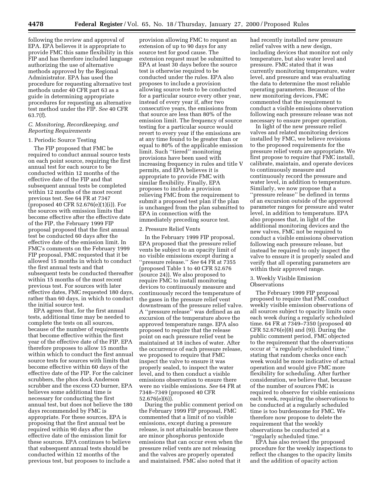following the review and approval of EPA. EPA believes it is appropriate to provide FMC this same flexibility in this FIP and has therefore included language authorizing the use of alternative methods approved by the Regional Administrator. EPA has used the procedure for requesting alternative test methods under 40 CFR part 63 as a guide in determining appropriate procedures for requesting an alternative test method under the FIP. *See* 40 CFR 63.7(f).

#### *C. Monitoring, Recordkeeping, and Reporting Requirements*

#### 1. Periodic Source Testing

The FIP proposed that FMC be required to conduct annual source tests on each point source, requiring the first annual test for each source to be conducted within 12 months of the effective date of the FIP and that subsequent annual tests be completed within 12 months of the most recent previous test. See 64 FR at 7347 (proposed 40 CFR 52.676(e)(1)(i)). For the sources with emission limits that become effective after the effective date of the FIP, the February 1999 FIP proposal proposed that the first annual test be conducted 60 days after the effective date of the emission limit. In FMC's comments on the February 1999 FIP proposal, FMC requested that it be allowed 15 months in which to conduct the first annual tests and that subsequent tests be conducted thereafter within 15 months of the most recent previous test. For sources with later effective dates, FMC requested 180 days, rather than 60 days, in which to conduct the initial source test.

EPA agrees that, for the first annual tests, additional time may be needed to complete the tests on all sources, because of the number of requirements that become effective within the first year of the effective date of the FIP. EPA therefore proposes to allow 15 months within which to conduct the first annual source tests for sources with limits that become effective within 60 days of the effective date of the FIP. For the calciner scrubbers, the phos dock Anderson scrubber and the excess CO burner, EPA believes some additional time is necessary for conducting the first annual test, but does not believe the 180 days recommended by FMC is appropriate. For these sources, EPA is proposing that the first annual test be required within 90 days after the effective date of the emission limit for these sources. EPA continues to believe that subsequent annual tests should be conducted within 12 months of the previous test, but proposes to include a

provision allowing FMC to request an extension of up to 90 days for any source test for good cause. The extension request must be submitted to EPA at least 30 days before the source test is otherwise required to be conducted under the rules. EPA also proposes to include a provision allowing source tests to be conducted for a particular source every other year, instead of every year if, after two consecutive years, the emissions from that source are less than 80% of the emission limit. The frequency of source testing for a particular source would revert to every year if the emissions are at any time found to be greater than or equal to 80% of the applicable emission limit. Such ''tiered'' monitoring provisions have been used with increasing frequency in rules and title V permits, and EPA believes it is appropriate to provide FMC with similar flexibility. Finally, EPA proposes to include a provision relieving FMC from the requirement to submit a proposed test plan if the plan is unchanged from the plan submitted to EPA in connection with the immediately preceding source test.

#### 2. Pressure Relief Vents

In the February 1999 FIP proposal, EPA proposed that the pressure relief vents be subject to an opacity limit of no visible emissions except during a ''pressure release.'' *See* 64 FR at 7355 (proposed Table 1 to 40 CFR 52.676 (source 24)). We also proposed to require FMC to install monitoring devices to continuously measure and continuously record the temperature of the gases in the pressure relief vent downstream of the pressure relief valve. A ''pressure release'' was defined as an excursion of the temperature above the approved temperature range. EPA also proposed to require that the release point on each pressure relief vent be maintained at 18 inches of water. After the occurrence of each pressure release, we proposed to require that FMC inspect the valve to ensure it was properly sealed, to inspect the water level, and to then conduct a visible emissions observation to ensure there were no visible emissions. *See* 64 FR at 7348–7349 (proposed 40 CFR 52.676(e)(6)).

During the public comment period on the February 1999 FIP proposal, FMC commented that a limit of no visible emissions, except during a pressure release, is not attainable because there are minor phosphorus pentoxide emissions that can occur even when the pressure relief vents are not releasing and the valves are properly operated and maintained. FMC also noted that it

had recently installed new pressure relief valves with a new design, including devices that monitor not only temperature, but also water level and pressure. FMC stated that it was currently monitoring temperature, water level, and pressure and was evaluating the data to determine the most reliable operating parameters. Because of the new monitoring devices, FMC commented that the requirement to conduct a visible emissions observation following each pressure release was not necessary to ensure proper operation.

In light of the new pressure relief valves and related monitoring devices installed by FMC, we believe revisions to the proposed requirements for the pressure relief vents are appropriate. We first propose to require that FMC install, calibrate, maintain, and operate devices to continuously measure and continuously record the pressure and water level, in addition to temperature. Similarly, we now propose that a ''pressure release'' be defined in terms of an excursion outside of the approved parameter ranges for pressure and water level, in addition to temperature. EPA also proposes that, in light of the additional monitoring devices and the new valves, FMC not be required to conduct a visible emissions observation following each pressure release, but instead be required to only inspect the valve to ensure it is properly sealed and verify that all operating parameters are within their approved range.

#### 3. Weekly Visible Emission Observations

The February 1999 FIP proposal proposed to require that FMC conduct weekly visible emission observations of all sources subject to opacity limits once each week during a regularly scheduled time. 64 FR at 7349–7350 (proposed 40 CFR 52.676(e)(8) and (9)). During the public comment period, FMC objected to the requirement that the observations occur at ''a regularly scheduled time,'' stating that random checks once each week would be more indicative of actual operation and would give FMC more flexibility for scheduling. After further consideration, we believe that, because of the number of sources FMC is required to observe for visible emissions each week, requiring the observations to be conducted at a regularly scheduled time is too burdensome for FMC. We therefore now propose to delete the requirement that the weekly observations be conducted at a ''regularly scheduled time.''

EPA has also revised the proposed procedure for the weekly inspections to reflect the changes to the opacity limits and the addition of opacity action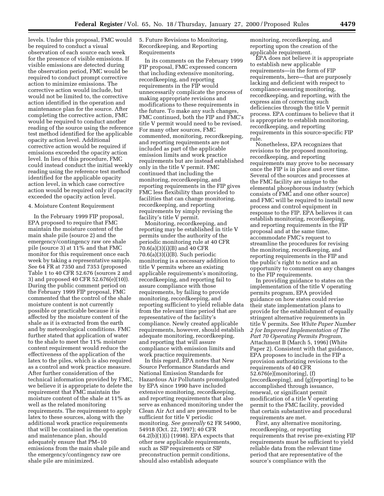levels. Under this proposal, FMC would be required to conduct a visual observation of each source each week for the presence of visible emissions. If visible emissions are detected during the observation period, FMC would be required to conduct prompt corrective action to minimize emissions. The corrective action would include, but would not be limited to, the corrective action identified in the operation and maintenance plan for the source. After completing the corrective action, FMC would be required to conduct another reading of the source using the reference test method identified for the applicable opacity action level. Additional corrective action would be required if emissions exceeded the opacity action level. In lieu of this procedure, FMC could instead conduct the initial weekly reading using the reference test method identified for the applicable opacity action level, in which case corrective action would be required only if opacity exceeded the opacity action level.

#### 4. Moisture Content Requirement

In the February 1999 FIP proposal, EPA proposed to require that FMC maintain the moisture content of the main shale pile (source 2) and the emergency/contingency raw ore shale pile (source 3) at 11% and that FMC monitor for this requirement once each week by taking a representative sample. See 64 FR at 7350 and 7353 (proposed Table 1 to 40 CFR 52.676 (sources 2 and 3) and proposed 40 CFR 52.676(e)(10)). During the public comment period on the February 1999 FIP proposal, FMC commented that the control of the shale moisture content is not currently possible or practicable because it is affected by the moisture content of the shale as it is extracted from the earth and by meteorological conditions. FMC further stated that application of water to the shale to meet the 11% moisture content requirement would reduce the effectiveness of the application of the latex to the piles, which is also required as a control and work practice measure. After further consideration of the technical information provided by FMC, we believe it is appropriate to delete the requirement that FMC maintain the moisture content of the shale at 11% as well as the related monitoring requirements. The requirement to apply latex to these sources, along with the additional work practice requirements that will be contained in the operation and maintenance plan, should adequately ensure that PM–10 emissions from the main shale pile and the emergency/contingency raw ore shale pile are minimized.

5. Future Revisions to Monitoring, Recordkeeping, and Reporting Requirements

In its comments on the February 1999 FIP proposal, FMC expressed concern that including extensive monitoring, recordkeeping, and reporting requirements in the FIP would unnecessarily complicate the process of making appropriate revisions and modifications to these requirements in the future. To make any such changes, FMC continued, both the FIP and FMC's title V permit would need to be revised. For many other sources, FMC commented, monitoring, recordkeeping, and reporting requirements are not included as part of the applicable emission limits and work practice requirements but are instead established only in the title V permit. FMC continued that including the monitoring, recordkeeping, and reporting requirements in the FIP gives FMC less flexibility than provided to facilities that can change monitoring, recordkeeping, and reporting requirements by simply revising the facility's title V permit.

Monitoring, recordkeeping, and reporting may be established in title V permits under the authority of the periodic monitoring rule at 40 CFR 70.6(a)(3)(i)(B) and 40 CFR 70.6(a)(3)(i)(B). Such periodic monitoring is a necessary addition to title V permits where an existing applicable requirements's monitoring, recordkeeping, and reporting fail to assure compliance with those requirements, by failing to provide monitoring, recordkeeping, and reporting sufficient to yield reliable data from the relevant time period that are representative of the facility's compliance. Newly created applicable requirements, however, should establish adequate monitoring, recordkeeping, and reporting that will assure compliance with emission limits and work practice requirements.

In this regard, EPA notes that New Source Performance Standards and National Emission Standards for Hazardous Air Pollutants promulgated by EPA since 1990 have included extensive monitoring, recordkeeping, and reporting requirements that also serve as enhanced monitoring under the Clean Air Act and are presumed to be sufficient for title V periodic monitoring. *See generally* 62 FR 54900, 54918 (Oct. 22, 1997); 40 CFR 64.2(b)(1)(i) (1998). EPA expects that other new applicable requirements, such as SIP requirements or SIP preconstruction permit conditions, should also establish adequate

monitoring, recordkeeping, and reporting upon the creation of the applicable requirement.

EPA does not believe it is appropriate to establish new applicable requirements—in the form of FIP requirements, here—that are purposely lacking and deficient with respect to compliance-assuring monitoring, recordkeeping, and reporting, with the express aim of correcting such deficiencies through the title V permit process. EPA continues to believe that it is appropriate to establish monitoring, recordkeeping, and reporting requirements in this source-specific FIP rule.

Nonetheless, EPA recognizes that revisions to the proposed monitoring, recordkeeping, and reporting requirements may prove to be necessary once the FIP is in place and over time. Several of the sources and processes at the FMC facility are unique to the elemental phosphorous industry (which consists of FMC and one other source) and FMC will be required to install new process and control equipment in response to the FIP. EPA believes it can establish monitoring, recordkeeping, and reporting requirements in the FIP proposal and at the same time, accommodate FMC's request to streamline the procedures for revising the monitoring, recordkeeping, and reporting requirements in the FIP and the public's right to notice and an opportunity to comment on any changes to the FIP requirements.

In providing guidance to states on the implementation of the title V operating permits program, EPA provided guidance on how states could revise their state implementation plans to provide for the establishment of equally stringent alternative requirements in title V permits. See *White Paper Number 2 for Improved Implementation of The Part 70 Operating Permits Program,* Attachment B (March 5, 1996) (White Paper 2). Consistent with that guidance, EPA proposes to include in the FIP a provision authorizing revisions to the requirements of 40 CFR 52.676(e)[monitoring], (f) [recordkeeping], and (g)[reporting] to be accomplished through issuance, renewal, or significant permit modification of a title V operating permit to the FMC facility, provided that certain substantive and procedural requirements are met.

First, any alternative monitoring, recordkeeping, or reporting requirements that revise pre-existing FIP requirements must be sufficient to yield reliable data from the relevant time period that are representative of the source's compliance with the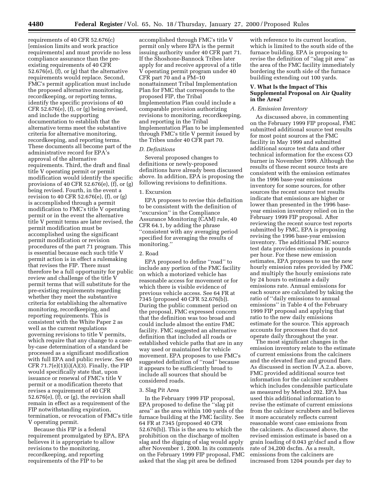requirements of 40 CFR 52.676(c) [emission limits and work practice requirements] and must provide no less compliance assurance than the preexisting requirements of 40 CFR 52.676(e), (f), or (g) that the alternative requirements would replace. Second, FMC's permit application must include the proposed alternative monitoring, recordkeeping, or reporting terms, identify the specific provisions of 40 CFR 52.676(e), (f), or (g) being revised, and include the supporting documentation to establish that the alternative terms meet the substantive criteria for alternative monitoring, recordkeeping, and reporting terms. These documents all become part of the administrative record for EPA's approval of the alternative requirements. Third, the draft and final title V operating permit or permit modification would identify the specific provisions of 40 CFR 52.676(e), (f), or (g) being revised. Fourth, in the event a revision to 40 CFR 52.676(e), (f), or (g) is accomplished through a permit modification to FMC's title V operating permit or in the event the alternative title V permit terms are later revised, the permit modification must be accomplished using the significant permit modification or revision procedures of the part 71 program. This is essential because each such title V permit action is in effect a rulemaking that revises the FIP. There must therefore be a full opportunity for public review and challenge of the title V permit terms that will substitute for the pre-existing requirements regarding whether they meet the substantive criteria for establishing the alternative monitoring, recordkeeping, and reporting requirements. This is consistent with the White Paper 2 as well as the current regulations governing revisions to title V permits, which require that any change to a caseby-case determination of a standard be processed as a significant modification with full EPA and public review. See 40 CFR  $71.7(e)(1)(i)(A)(3)$ . Finally, the FIP would specifically state that, upon issuance or renewal of FMC's title V permit or a modification thereto that revises a requirement of 40 CFR 52.676(e), (f), or (g), the revision shall remain in effect as a requirement of the FIP notwithstanding expiration, termination, or revocation of FMC's title V operating permit.

Because this FIP is a federal requirement promulgated by EPA, EPA believes it is appropriate to allow revisions to the monitoring, recordkeeping, and reporting requirements of the FIP to be

accomplished through FMC's title V permit only where EPA is the permit issuing authority under 40 CFR part 71. If the Shoshone-Bannock Tribes later apply for and receive approval of a title V operating permit program under 40 CFR part 70 and a PM–10 nonattainment Tribal Implementation Plan for FMC that corresponds to the proposed FIP, the Tribal Implementation Plan could include a comparable provision authorizing revisions to monitoring, recordkeeping, and reporting in the Tribal Implementation Plan to be implemented through FMC's title V permit issued by the Tribes under 40 CFR part 70.

#### *D. Definitions*

Several proposed changes to definitions or newly-proposed definitions have already been discussed above. In addition, EPA is proposing the following revisions to definitions.

#### 1. Excursion

EPA proposes to revise this definition to be consistent with the definition of ''excursion'' in the Compliance Assurance Monitoring (CAM) rule, 40 CFR 64.1, by adding the phrase ''consistent with any averaging period specified for averaging the results of monitoring.''

#### 2. Road

EPA proposed to define ''road'' to include any portion of the FMC facility on which a motorized vehicle has reasonable access for movement or for which there is visible evidence of previous vehicle access. See 64 FR at 7345 (proposed 40 CFR 52.676(b)). During the public comment period on the proposal, FMC expressed concern that the definition was too broad and could include almost the entire FMC facility. FMC suggested an alternative definition that included all roads or established vehicle paths that are in any way used or maintained for vehicle movement. EPA proposes to use FMC's suggested definition of ''road'' because it appears to be sufficiently broad to include all sources that should be considered roads.

#### 3. Slag Pit Area

In the February 1999 FIP proposal, EPA proposed to define the ''slag pit area'' as the area within 100 yards of the furnace building at the FMC facility. See 64 FR at 7345 (proposed 40 CFR 52.676(b)). This is the area to which the prohibition on the discharge of molten slag and the digging of slag would apply after November 1, 2000. In its comments on the February 1999 FIP proposal, FMC asked that the slag pit area be defined

with reference to its current location which is limited to the south side of the furnace building. EPA is proposing to revise the definition of ''slag pit area'' as the area of the FMC facility immediately bordering the south side of the furnace building extending out 100 yards.

#### **V. What Is the Impact of This Supplemental Proposal on Air Quality in the Area?**

#### *A. Emission Inventory*

As discussed above, in commenting on the February 1999 FIP proposal, FMC submitted additional source test results for most point sources at the FMC facility in May 1999 and submitted additional source test data and other technical information for the excess CO burner in November 1999. Although the results of these recent source tests are consistent with the emission estimates in the 1996 base-year emissions inventory for some sources, for other sources the recent source test results indicate that emissions are higher or lower than presented in the 1996 baseyear emission inventory relied on in the February 1999 FIP proposal. After reviewing the recent source test reports submitted by FMC, EPA is proposing revising the 1996 base-year emission inventory. The additional FMC source test data provides emissions in pounds per hour. For these new emission estimates, EPA proposes to use the new hourly emission rates provided by FMC and multiply the hourly emissions rate by 24 hours to estimate a daily emissions rate. Annual emissions for each source are calculated by taking the ratio of ''daily emissions to annual emissions'' in Table 4 of the February 1999 FIP proposal and applying that ratio to the new daily emissions estimate for the source. This approach accounts for processes that do not operate daily throughout the year.

The most significant changes in the emission inventory relate to the estimate of current emissions from the calciners and the elevated flare and ground flare. As discussed in section IV.A.2.a. above, FMC provided additional source test information for the calciner scrubbers which includes condensible particulate as measured by Method 202. EPA has used this additional information to revise the estimate of current emissions from the calciner scrubbers and believes it more accurately reflects current reasonable worst case emissions from the calciners. As discussed above, the revised emission estimate is based on a grain loading of 0.043 gr/dscf and a flow rate of 34,200 dscfm. As a result, emissions from the calciners are increased from 1204 pounds per day to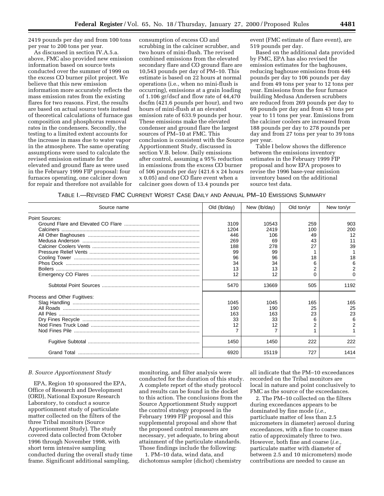2419 pounds per day and from 100 tons per year to 200 tons per year.

As discussed in section IV.A.5.a. above, FMC also provided new emission information based on source tests conducted over the summer of 1999 on the excess CO burner pilot project. We believe that this new emission information more accurately reflects the mass emission rates from the existing flares for two reasons. First, the results are based on actual source tests instead of theoretical calculations of furnace gas composition and phosphorus removal rates in the condensers. Secondly, the testing to a limited extent accounts for the increase in mass due to water vapor in the atmosphere. The same operating assumptions were used to calculate the revised emission estimate for the elevated and ground flare as were used in the February 1999 FIP proposal: four furnaces operating, one calciner down for repair and therefore not available for

consumption of excess CO and scrubbing in the calciner scrubber, and two hours of mini-flush. The revised combined emissions from the elevated secondary flare and CO ground flare are 10,543 pounds per day of PM–10. This estimate is based on 22 hours at normal operations (i.e., when no mini-flush is occurring), emissions at a grain loading of 1.106 gr/dscf and flow rate of 44,470 dscfm (421.6 pounds per hour), and two hours of mini-flush at an elevated emission rate of 633.9 pounds per hour. These emissions make the elevated condenser and ground flare the largest sources of PM–10 at FMC. This conclusion is consistent with the Source Apportionment Study, discussed in section V.B. below. Daily emissions after control, assuming a 95% reduction in emissions from the excess CO burner of 506 pounds per day (421.6 x 24 hours x 0.05) and one CO flare event when a calciner goes down of 13.4 pounds per

event (FMC estimate of flare event), are 519 pounds per day.

Based on the additional data provided by FMC, EPA has also revised the emission estimates for the baghouses, reducing baghouse emissions from 446 pounds per day to 106 pounds per day and from 49 tons per year to 12 tons per year. Emissions from the four furnace building Medusa Andersen scrubbers are reduced from 269 pounds per day to 69 pounds per day and from 43 tons per year to 11 tons per year. Emissions from the calciner coolers are increased from 188 pounds per day to 278 pounds per day and from 27 tons per year to 39 tons per year.

Table I below shows the difference between the emissions inventory estimates in the February 1999 FIP proposal and how EPA proposes to revise the 1996 base-year emission inventory based on the additional source test data.

TABLE I.—REVISED FMC CURRENT WORST CASE DAILY AND ANNUAL PM–10 EMISSIONS SUMMARY

| Source name                  | Old (lb/day) | New (lb/day) | Old ton/yr | New ton/yr |
|------------------------------|--------------|--------------|------------|------------|
| Point Sources:               |              |              |            |            |
|                              | 3109         | 10543        | 259        | 903        |
|                              | 1204         | 2419         | 100        | 200        |
|                              | 446          | 106          | 49         | 12         |
|                              | 269          | 69           | 43         | 11         |
|                              | 188          | 278          | 27         | 39         |
|                              | 99           | 99           |            |            |
|                              | 96           | 96           | 18         | 18         |
|                              | 34           | 34           |            | 6          |
|                              | 13           | 13           |            |            |
|                              | 12           | 12           |            |            |
|                              | 5470         | 13669        | 505        | 1192       |
| Process and Other Fugitives: |              |              |            |            |
|                              | 1045         | 1045         | 165        | 165        |
|                              | 190          | 190          | 25         | 25         |
|                              | 163          | 163          | 23         | 23         |
|                              | 33           | 33           | 6          | 6          |
|                              | 12           | 12           |            |            |
|                              |              |              |            |            |
|                              | 1450         | 1450         | 222        | 222        |
|                              | 6920         | 15119        | 727        | 1414       |

#### *B. Source Apportionment Study*

EPA, Region 10 sponsored the EPA, Office of Research and Development (ORD), National Exposure Research Laboratory, to conduct a source apportionment study of particulate matter collected on the filters of the three Tribal monitors (Source Apportionment Study). The study covered data collected from October 1996 through November 1998, with short term intensive sampling conducted during the overall study time frame. Significant additional sampling,

monitoring, and filter analysis were conducted for the duration of this study. A complete report of the study protocol and results can be found in the docket to this action. The conclusions from the Source Apportionment Study support the control strategy proposed in the February 1999 FIP proposal and this supplemental proposal and show that the proposed control measures are necessary, yet adequate, to bring about attainment of the particulate standards. Those findings include the following:

1. PM–10 data, wind data, and dichotomus sampler (dichot) chemistry

all indicate that the PM–10 exceedances recorded on the Tribal monitors are local in nature and point conclusively to FMC as the source of the exceedances.

2. The PM–10 collected on the filters during exceedances appears to be dominated by fine mode (*i.e.,* particluate matter of less than 2.5 micrometers in diameter) aerosol during exceedances, with a fine to coarse mass ratio of approximately three to two. However, both fine and coarse (*i.e.,* particulate matter with diameter of between 2.5 and 10 micrometers) mode contributions are needed to cause an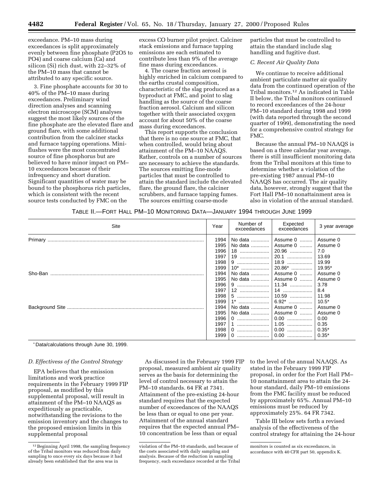exceedance. PM–10 mass during exceedances is split approximately evenly between fine phosphate (P2O5 to PO4) and coarse calcium (Ca) and silicon (Si) rich dust, with 22–32% of the PM–10 mass that cannot be attributed to any specific source.

3. Fine phosphate accounts for 30 to 40% of the PM–10 mass during exceedances. Preliminary wind direction analyses and scanning electron microscope (SCM) analyses suggest the most likely sources of the fine phosphate are the elevated flare and ground flare, with some additional contribution from the calciner stacks and furnace tapping operations. Miniflushes were the most concentrated source of fine phosphorus but are believed to have minor impact on PM– 10 exceedances because of their infrequency and short duration. Significant quantities of water may be bound to the phosphorus rich particles, which is consistent with the recent source tests conducted by FMC on the

excess CO burner pilot project. Calciner stack emissions and furnace tapping emissions are each estimated to contribute less than 9% of the average fine mass during exceedances.

4. The coarse fraction aerosol is highly enriched in calcium compared to the earths crustal composition, characteristic of the slag produced as a byproduct at FMC, and point to slag handling as the source of the coarse fraction aerosol. Calcium and silicon together with their associated oxygen account for about 50% of the coarse mass during exceedances.

This report supports the conclusion that there is no one source at FMC, that when controlled, would bring about attainment of the PM–10 NAAQS. Rather, controls on a number of sources are necessary to achieve the standards. The sources emitting fine-mode particles that must be controlled to attain the standard include the elevated flare, the ground flare, the calciner scrubbers, and furnace tapping fumes. The sources emitting coarse-mode

particles that must be controlled to attain the standard include slag handling and fugitive dust.

#### *C. Recent Air Quality Data*

We continue to receive additional ambient particulate matter air quality data from the continued operation of the Tribal monitors.12 As indicated in Table II below, the Tribal monitors continued to record exceedances of the 24-hour PM–10 standard during 1998 and 1999 (with data reported through the second quarter of 1999), demonstrating the need for a comprehensive control strategy for FMC.

Because the annual PM–10 NAAQS is based on a three calendar year average, there is still insufficient monitoring data from the Tribal monitors at this time to determine whether a violation of the pre-existing 1987 annual PM–10 NAAQS has occurred. The air quality data, however, strongly suggest that the Fort Hall PM–10 nonattainment area is also in violation of the annual standard.

| Table II.—Fort Hall PM—10 Monitoring Data—January 1994 through June 1999 |  |  |  |  |  |
|--------------------------------------------------------------------------|--|--|--|--|--|
|--------------------------------------------------------------------------|--|--|--|--|--|

| Site    | Year | Number of<br>exceedances | Expected<br>exceedances         | 3 year average |
|---------|------|--------------------------|---------------------------------|----------------|
|         | 1994 |                          | No data    Assume 0    Assume 0 |                |
|         | 1995 |                          | No data    Assume 0    Assume 0 |                |
|         | 1996 |                          |                                 | 7.0            |
|         | 1997 |                          |                                 | 13.69          |
|         | 1998 |                          |                                 |                |
|         | 1999 |                          |                                 |                |
| Sho-Ban | 1994 |                          | No data    Assume 0             | Assume 0       |
|         | 1995 |                          | No data    Assume 0    Assume 0 |                |
|         | 1996 |                          |                                 | 3.78           |
|         | 1997 |                          |                                 | 8.4            |
|         | 1998 |                          |                                 | 11.98          |
|         | 1999 |                          |                                 | $10.5^*$       |
|         | 1994 |                          | No data    Assume 0             | Assume 0       |
|         | 1995 |                          | No data    Assume 0             | Assume 0       |
|         | 1996 |                          |                                 | 0.00           |
|         | 1997 | 1                        | 1.05                            | 0.35           |
|         | 1998 |                          |                                 | $0.35*$        |
|         | 1999 |                          | $0.00$                          | $0.35*$        |

\* Data/calculations through June 30, 1999.

#### *D. Effectivess of the Control Strategy*

EPA believes that the emission limitations and work practice requirements in the February 1999 FIP proposal, as modified by this supplemental proposal, will result in attainment of the PM–10 NAAQS as expeditiously as practicable, notwithstanding the revisions to the emission inventory and the changes to the proposed emission limits in this supplemental proposal

As discussed in the February 1999 FIP proposal, measured ambient air quality serves as the basis for determining the level of control necessary to attain the PM–10 standards. 64 FR at 7341. Attainment of the pre-existing 24-hour standard requires that the expected number of exceedances of the NAAQS be less than or equal to one per year. Attainment of the annual standard requires that the expected annual PM– 10 concentration be less than or equal

to the level of the annual NAAQS. As stated in the February 1999 FIP proposal, in order for the Fort Hall PM– 10 nonattainment area to attain the 24 hour standard, daily PM–10 emissions from the FMC facility must be reduced by approximately 65%. Annual PM–10 emissions must be reduced by approximately 25%. 64 FR 7342.

Table III below sets forth a revised analysis of the effectiveness of the control strategy for attaining the 24-hour

<sup>12</sup>Beginning April 1998, the sampling frequency of the Tribal monitors was reduced from daily sampling to once every six days because it had already been established that the area was in

violation of the PM–10 standards, and because of the costs associated with daily sampling and analysis. Because of the reduction in sampling frequency, each exceedance recorded at the Tribal

monitors is counted as six exceedances, in accordance with 40 CFR part 50, appendix K.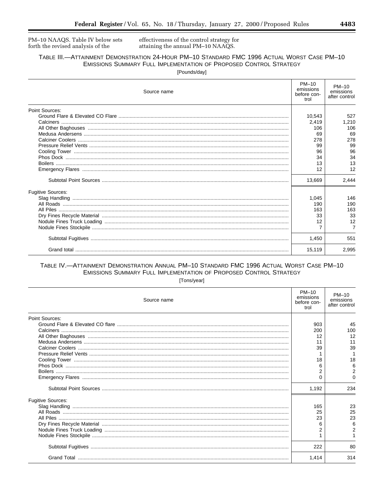PM-10 NAAQS. Table IV below sets forth the revised analysis of the

effectiveness of the control strategy for attaining the annual PM-10 NAAQS.

### TABLE III.-ATTAINMENT DEMONSTRATION 24-HOUR PM-10 STANDARD FMC 1996 ACTUAL WORST CASE PM-10 EMISSIONS SUMMARY FULL IMPLEMENTATION OF PROPOSED CONTROL STRATEGY

[Pounds/day]

| Source name              | PM-10<br>emissions<br>before con-<br>trol | PM-10<br>emissions<br>after control |
|--------------------------|-------------------------------------------|-------------------------------------|
| Point Sources:           |                                           |                                     |
|                          | 10,543                                    | 527                                 |
|                          | 2,419                                     | 1,210                               |
|                          | 106                                       | 106                                 |
|                          | 69                                        | 69                                  |
|                          | 278                                       | 278                                 |
|                          | 99                                        | 99                                  |
|                          | 96                                        | 96                                  |
|                          | 34                                        | 34                                  |
|                          | 13                                        | 13                                  |
|                          | 12                                        | 12                                  |
|                          | 13,669                                    | 2,444                               |
| <b>Fugitive Sources:</b> |                                           |                                     |
|                          | 1,045                                     | 146                                 |
|                          | 190                                       | 190                                 |
|                          | 163                                       | 163                                 |
|                          | 33                                        | 33                                  |
|                          | 12                                        | 12                                  |
|                          |                                           |                                     |
|                          | 1,450                                     | 551                                 |
|                          | 15,119                                    | 2.995                               |

### TABLE IV.- ATTAINMENT DEMONSTRATION ANNUAL PM-10 STANDARD FMC 1996 ACTUAL WORST CASE PM-10 EMISSIONS SUMMARY FULL IMPLEMENTATION OF PROPOSED CONTROL STRATEGY

[Tons/year]

| Source name              | PM-10<br>emissions<br>before con-<br>trol | $PM-10$<br>emissions<br>after control |
|--------------------------|-------------------------------------------|---------------------------------------|
| Point Sources:           |                                           |                                       |
|                          | 903                                       | 45                                    |
|                          | 200                                       | 100                                   |
|                          | 12                                        | 12                                    |
|                          | 11                                        | 11                                    |
|                          | 39                                        | 39                                    |
|                          |                                           |                                       |
|                          | 18                                        | 18                                    |
|                          | 6                                         | 6                                     |
|                          | 2                                         | 2                                     |
|                          | 0                                         | 0                                     |
|                          | 1,192                                     | 234                                   |
| <b>Fugitive Sources:</b> |                                           |                                       |
|                          | 165                                       | 23                                    |
|                          | 25                                        | 25                                    |
|                          | 23                                        | 23                                    |
|                          | 6                                         | 6                                     |
|                          | 2                                         |                                       |
|                          |                                           |                                       |
|                          | 222                                       | 80                                    |
|                          | 1.414                                     | 314                                   |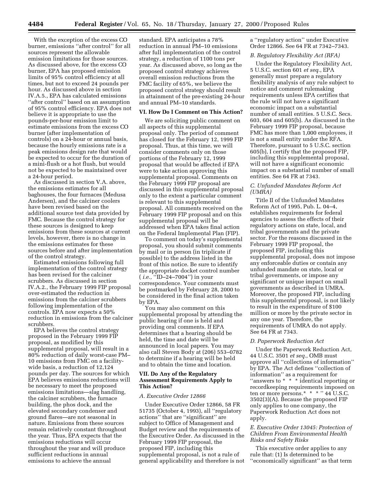With the exception of the excess CO burner, emissions ''after control'' for all sources represent the allowable emission limitations for those sources. As discussed above, for the excess CO burner, EPA has proposed emission limits of 95% control efficiency at all times, but not to exceed 24 pounds per hour. As discussed above in section IV.A.5., EPA has calculated emissions ''after control'' based on an assumption of 95% control efficiency. EPA does not believe it is appropriate to use the pounds-per-hour emission limit to estimate emissions from the excess CO burner (after implementation of controls) on a 24-hour or annual basis, because the hourly emissions rate is a peak emissions design rate that would be expected to occur for the duration of a mini-flush or a hot flush, but would not be expected to be maintained over a 24-hour period.

As discussed in section V.A. above, the emissions estimates for all baghouses, the four furnaces (Medusa Andersen), and the calciner coolers have been revised based on the additional source test data provided by FMC. Because the control strategy for these sources is designed to keep emissions from these sources at current levels, however, there is no change in the emissions estimates for these sources before and after implementation of the control strategy.

Estimated emissions following full implementation of the control strategy has been revised for the calciner scrubbers. As discussed in section IV.A.2., the February 1999 FIP proposal over-estimated the reduction in emissions from the calciner scrubbers following implementation of the controls. EPA now expects a 50% reduction in emissions from the calciner scrubbers.

EPA believes the control strategy proposed in the February 1999 FIP proposal, as modified by this supplemental proposal, will result in a 80% reduction of daily worst-case PM– 10 emissions from FMC on a facilitywide basis, a reduction of 12,124 pounds per day. The sources for which EPA believes emissions reductions will be necessary to meet the proposed emissions limitations—slag handling, the calciner scrubbers, the furnace building, the phos dock, and the elevated secondary condenser and ground flares—are not seasonal in nature. Emissions from these sources remain relatively constant throughout the year. Thus, EPA expects that the emissions reductions will occur throughout the year and will produce sufficient reductions in annual emissions to achieve the annual

standard. EPA anticipates a 78% reduction in annual PM–10 emissions after full implementation of the control strategy, a reduction of 1100 tons per year. As discussed above, so long as the proposed control strategy achieves overall emission reductions from the FMC facility of 65%, we believe the proposed control strategy should result in attainment of the pre-existing 24-hour and annual PM–10 standards.

#### **VI. How Do I Comment on This Action?**

We are soliciting public comment on all aspects of this supplemental proposal only. The period of comment has closed for the February 12, 1999 FIP proposal. Thus, at this time, we will consider comments only on those portions of the February 12, 1999 proposal that would be affected if EPA were to take action approving this supplemental proposal. Comments on the February 1999 FIP proposal are discussed in this supplemental proposal only to the extent a particular comment is relevant to this supplemental proposal. All comments received on the February 1999 FIP proposal and on this supplemental proposal will be addressed when EPA takes final action on the Federal Implemental Plan (FIP).

To comment on today's supplemental proposal, you should submit comments by mail or in person (in triplicate if possible) to the address listed in the front of this notice. Be sure to identify the appropriate docket control number ( *i.e.,* ''ID–24–7004'') in your correspondence. Your comments must be postmarked by February 28, 2000 to be considered in the final action taken by EPA.

You may also comment on this supplemental proposal by attending the public hearing if one is held and providing oral comments. If EPA determines that a hearing should be held, the time and date will be announced in local papers. You may also call Steven Body at (206) 553–0782 to determine if a hearing will be held and to obtain the time and location.

#### **VII. Do Any of the Regulatory Assessment Requirements Apply to This Action?**

#### *A. Executive Order 12866*

Under Executive Order 12866, 58 FR 51735 (October 4, 1993), all ''regulatory actions'' that are ''significant'' are subject to Office of Management and Budget review and the requirements of the Executive Order. As discussed in the February 1999 FIP proposal, the proposed FIP, including this supplemental proposal, is not a rule of general applicability and therefore is not

a ''regulatory action'' under Executive Order 12866. See 64 FR at 7342–7343.

#### *B. Regulatory Flexibility Act (RFA)*

Under the Regulatory Flexibility Act, 5 U.S.C. section 601 *et seq.*, EPA generally must prepare a regulatory flexibility analysis of any rule subject to notice and comment rulemaking requirements unless EPA certifies that the rule will not have a significant economic impact on a substantial number of small entities. 5 U.S.C. Secs. 603, 604 and 605(b). As discussed in the February 1999 FIP proposal, because FMC has more than 1,000 employees, it is not a small entity under the RFA. Therefore, pursuant to 5 U.S.C. section 605(b), I certify that the proposed FIP, including this supplemental proposal, will not have a significant economic impact on a substantial number of small entities. See 64 FR at 7343.

#### *C. Unfunded Mandates Reform Act (UMRA)*

Title II of the Unfunded Mandates Reform Act of 1995, Pub. L. 04–4, establishes requirements for federal agencies to assess the effects of their regulatory actions on state, local, and tribal governments and the private sector. For the reasons discussed in the February 1999 FIP proposal, the proposed FIP, including this supplemental proposal, does not impose any enforceable duties or contain any unfunded mandate on state, local or tribal governments, or impose any significant or unique impact on small governments as described in UMRA. Moreover, the proposed FIP, including this supplemental proposal, is not likely to result in the expenditure of \$100 million or more by the private sector in any one year. Therefore, the requirements of UMRA do not apply. See 64 FR at 7343.

#### *D. Paperwork Reduction Act*

Under the Paperwork Reduction Act, 44 U.S.C. 3501 *et seq.*, OMB must approve all ''collections of information'' by EPA. The Act defines ''collection of information'' as a requirement for ''answers to \* \* \* identical reporting or recordkeeping requirements imposed on ten or more persons.\* \* \* \* '' 44 U.S.C. 3502(3)(A). Because the proposed FIP only applies to one company, the Paperwork Reduction Act does not apply.

#### *E. Executive Order 13045: Protection of Children From Environmental Health Risks and Safety Risks*

This executive order applies to any rule that: (1) Is determined to be ''economically significant'' as that term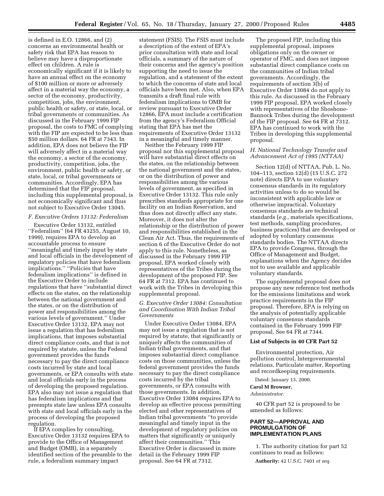is defined in E.O. 12866, and (2) concerns an environmental health or safety risk that EPA has reason to believe may have a disproportionate effect on children. A rule is economically significant if it is likely to have an annual effect on the economy of \$100 million or more or adversely affect in a material way the economy, a sector of the economy, productivity, competition, jobs, the environment, public health or safety, or state, local, or tribal governments or communities. As discussed in the February 1999 FIP proposal, the costs to FMC of complying with the FIP are expected to be less than \$50 million dollars. 64 FR at 7343. In addition, EPA does not believe the FIP will adversely affect in a material way the economy, a sector of the economy, productivity, competition, jobs, the environment, public health or safety, or state, local, or tribal governments or communities. Accordingly, EPA has determined that the FIP proposal, including this supplemental proposal, is not economically significant and thus not subject to Executive Order 13045.

#### *F. Executive Orders 13132: Federalism*

Executive Order 13132, entitled ''Federalism'' (64 FR 43255, August 10, 1999), requires EPA to develop an accountable process to ensure ''meaningful and timely input by state and local officials in the development of regulatory policies that have federalism implications.'' ''Policies that have federalism implications'' is defined in the Executive Order to include regulations that have ''substantial direct effects on the states, on the relationship between the national government and the states, or on the distribution of power and responsibilities among the various levels of government.'' Under Executive Order 13132, EPA may not issue a regulation that has federalism implications, that imposes substantial direct compliance costs, and that is not required by statute, unless the Federal government provides the funds necessary to pay the direct compliance costs incurred by state and local governments, or EPA consults with state and local officials early in the process of developing the proposed regulation. EPA also may not issue a regulation that has federalism implications and that preempts state law unless EPA consults with state and local officials early in the process of developing the proposed regulation.

If EPA complies by consulting. Executive Order 13132 requires EPA to provide to the Office of Management and Budget (OMB), in a separately identified section of the preamble to the rule, a federalism summary impact

statement (FSIS). The FSIS must include a description of the extent of EPA's prior consultation with state and local officials, a summary of the nature of their concerns and the agency's position supporting the need to issue the regulation, and a statement of the extent to which the concerns of state and local officials have been met. Also, when EPA transmits a draft final rule with federalism implications to OMB for review pursuant to Executive Order 12866, EPA must include a certification from the agency's Federalism Official stating that EPA has met the requirements of Executive Order 13132 in a meaningful and timely manner.

Neither the February 1999 FIP proposal nor this supplemental proposal will have substantial direct effects on the states, on the relationship between the national government and the states, or on the distribution of power and responsibilities among the various levels of government, as specified in Executive Order 13132. This rule only prescribes standards appropriate for one facility on an Indian Reservation, and thus does not directly affect any state. Moreover, it does not alter the relationship or the distribution of power and responsibilities established in the Clean Air Act. Thus, the requirements of section 6 of the Executive Order do not apply to this rule. Nonetheless, as discussed in the February 1999 FIP proposal, EPA worked closely with representatives of the Tribes during the development of the proposed FIP. See 64 FR at 7312. EPA has continued to work with the Tribes in developing this supplemental proposal.

#### *G. Executive Order 13084: Consultation and Coordination With Indian Tribal Governments*

Under Executive Order 13084, EPA may not issue a regulation that is not required by statute, that significantly or uniquely affects the communities of Indian tribal governments, and that imposes substantial direct compliance costs on those communities, unless the federal government provides the funds necessary to pay the direct compliance costs incurred by the tribal governments, or EPA consults with those governments. In addition, Executive Order 13084 requires EPA to develop an effective process permitting elected and other representatives of Indian tribal governments ''to provide meaningful and timely input in the development of regulatory policies on matters that significantly or uniquely affect their communities.'' This Executive Order is discussed in more detail in the February 1999 FIP proposal. See 64 FR at 7312.

The proposed FIP, including this supplemental proposal, imposes obligations only on the owner or operator of FMC, and does not impose substantial direct compliance costs on the communities of Indian tribal governments. Accordingly, the requirements of section 3(b) of Executive Order 13084 do not apply to this rule. As discussed in the February 1999 FIP proposal, EPA worked closely with representatives of the Shoshone-Bannock Tribes during the development of the FIP proposal. See 64 FR at 7312. EPA has continued to work with the Tribes in developing this supplemental proposal.

#### *H. National Technology Transfer and Advancement Act of 1995 (NTTAA)*

Section 12(d) of NTTAA, Pub. L. No. 104–113, section 12(d) (15 U.S.C. 272 note) directs EPA to use voluntary consensus standards in its regulatory activities unless to do so would be inconsistent with applicable law or otherwise impractical. Voluntary consensus standards are technical standards (*e.g.,* materials specifications, test methods, sampling procedures, business practices) that are developed or adopted by voluntary consensus standards bodies. The NTTAA directs EPA to provide Congress, through the Office of Management and Budget, explanations when the Agency decides not to use available and applicable voluntary standards.

The supplemental proposal does not propose any new reference test methods for the emissions limitations and work practice requirements in the FIP proposal. Therefore, EPA is relying on the analysis of potentially applicable voluntary consensus standards contained in the February 1999 FIP proposal. See 64 FR at 7344.

#### **List of Subjects in 40 CFR Part 52**

Environmental protection, Air pollution control, Intergovernmental relations, Particulate matter, Reporting and recordkeeping requirements.

Dated: January 13, 2000.

#### **Carol M Browner,**

*Administrator.*

40 CFR part 52 is proposed to be amended as follows:

#### **PART 52—APPROVAL AND PROMULGATION OF IMPLEMENTATION PLANS**

1. The authority citation for part 52 continues to read as follows:

**Authority:** 42 U.S.C. 7401 *et seq.*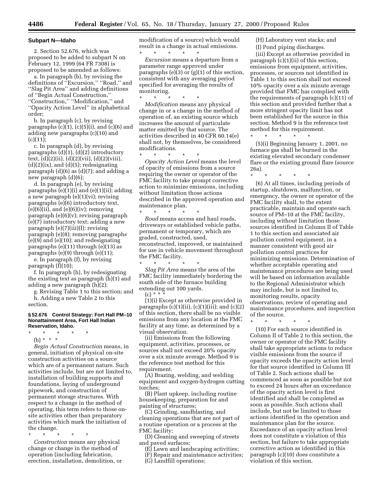#### **Subpart N—Idaho**

2. Section 52.676, which was proposed to be added to subpart N on February 12, 1999 (64 FR 7308) is proposed to be amended as follows:

a. In paragraph (b), by revising the definitions of ''Excursion,'' ''Road,'' and ''Slag Pit Area'' and adding definitions of ''Begin Actual Construction,'' ''Construction,'' ''Modification,'' and ''Opacity Action Level'' in alphabetical order;

b. In paragraph (c), by revising paragraphs  $(c)(1)$ ,  $(c)(5)(i)$ , and  $(c)(6)$  and adding new paragraphs (c)(10) and  $(c)(11);$ 

c. In paragraph (d), by revising paragraphs  $(d)(1)$ ,  $(d)(2)$  introductory text, (d)(2)(ii), (d)(2)(vii), (d)(2)(viii),  $(d)(2)(ix)$ , and  $(d)(5)$ ; redesignating paragraph (d)(6) as (d)(7); and adding a new paragraph (d)(6);

d. In paragraph (e), by revising paragraphs  $(e)(1)(i)$  and  $(e)(1)(ii)$ ; adding a new paragraph (e)(1)(vi); revising paragraphs (e)(6) introductory text,  $(e)(6)(ii)$ , and  $(e)(6)(iv)$ ; removing paragraph (e)(6)(v); revising paragraph (e)(7) introductory text; adding a new paragraph (e)(7)(iii)(I); revising paragraph (e)(8); removing paragraphs (e)(9) and (e)(10); and redesignating paragraphs (e)(11) through (e)(13) as paragraphs (e)(9) through (e)(11);

e. In paragraph (f), by revising paragraph (f)(10);

f. In paragraph (h), by redesignating the existing text as paragraph (h)(1) and adding a new paragraph (h)(2);

g. Revising Table 1 to this section; and h. Adding a new Table 2 to this

#### **§ 52.676 Control Strategy: Fort Hall PM–10 Nonattainment Area, Fort Hall Indian Reservation, Idaho.**

\* \* \* \* \* (b) \* \* \*

section.

*Begin Actual Construction* means, in general, initiation of physical on-site construction activities on a source which are of a permanent nature. Such activities include, but are not limited to, installation of building supports and foundations, laying of underground pipework, and construction of permanent storage structures. With respect to a change in the method of operating, this term refers to those onsite activities other than preparatory activities which mark the initiation of the change.

\* \* \* \* \* *Construction* means any physical change or change in the method of operation (including fabrication, erection, installation, demolition, or modification of a source) which would result in a change in actual emissions. \* \* \* \* \*

*Excursion* means a departure from a parameter range approved under paragraphs (e)(3) or (g)(1) of this section, consistent with any averaging period specified for averaging the results of monitoring.

\* \* \* \* \* *Modification* means any physical change in or a change in the method of operation of, an existing source which increases the amount of particulate matter emitted by that source. The activities described in 40 CFR 60.14(e) shall not, by themselves, be considered modifications. \* \* \* \* \*

*Opacity Action Level* means the level of opacity of emissions from a source requiring the owner or operator of the FMC facility to take prompt corrective action to minimize emissions, including without limitation those actions described in the approved operation and maintenance plan.

\* \* \* \* \* *Road* means access and haul roads, driveways or established vehicle paths, permanent or temporary, which are graded, constructed, used, reconstructed, improved, or maintained for use in vehicle movement throughout the FMC facility.

\* \* \* \* \* *Slag Pit Area* means the area of the FMC facility immediately bordering the south side of the furnace building extending out 100 yards.

(c) \* \* \*

(1)(i) Except as otherwise provided in paragraphs  $(c)(1)(ii)$ ,  $(c)(1)(iii)$ ; and  $(c)(2)$ of this section, there shall be no visible emissions from any location at the FMC facility at any time, as determined by a visual observation.

(ii) Emissions from the following equipment, activities, processes, or sources shall not exceed 20% opacity over a six minute average. Method 9 is the reference test method for this requirement.

(A) Brazing, welding, and welding equipment and oxygen-hydrogen cutting torches;

(B) Plant upkeep, including routine housekeeping, preparation for and painting of structures;

(C) Grinding, sandblasting, and cleaning operations that are not part of a routine operation or a process at the FMC facility;

(D) Cleaning and sweeping of streets and paved surfaces;

(E) Lawn and landscaping activities;

(F) Repair and maintenance activities;

(G) Landfill operations;

(H) Laboratory vent stacks; and (I) Pond piping discharges.

(iii) Except as otherwise provided in paragraph (c)(1)(ii) of this section, emissions from equipment, activities, processes, or sources not identified in Table 1 to this section shall not exceed 10% opacity over a six minute average provided that FMC has complied with the requirements of paragraph (c)(11) of this section and provided further that a more stringent opacity limit has not been established for the source in this section. Method 9 is the reference test method for this requirement.

(5)(i) Beginning January 1, 2001, no furnace gas shall be burned in the existing elevated secondary condenser flare or the existing ground flare (source 26a).

\* \* \* \* \*

\* \* \* \* \*

(6) At all times, including periods of startup, shutdown, malfunction, or emergency, the owner or operator of the FMC facility shall, to the extent practicable, maintain and operate each source of PM–10 at the FMC facility, including without limitation those sources identified in Column II of Table 1 to this section and associated air pollution control equipment, in a manner consistent with good air pollution control practices for minimizing emissions. Determination of whether acceptable operating and maintenance procedures are being used will be based on information available to the Regional Administrator which may include, but is not limited to, monitoring results, opacity observations, review of operating and maintenance procedures, and inspection of the source.

\* \* \* \* \*

(10) For each source identified in Column II of Table 2 to this section, the owner or operator of the FMC facility shall take appropriate actions to reduce visible emissions from the source if opacity exceeds the opacity action level for that source identified in Column III of Table 2. Such actions shall be commenced as soon as possible but not to exceed 24 hours after an exceedance of the opacity action level is first identified and shall be completed as soon as possible. Such actions shall include, but not be limited to those actions identified in the operation and maintenance plan for the source. Exceedance of an opacity action level does not constitute a violation of this section, but failure to take appropriate corrective action as identified in this paragraph (c)(10) does constitute a violation of this section.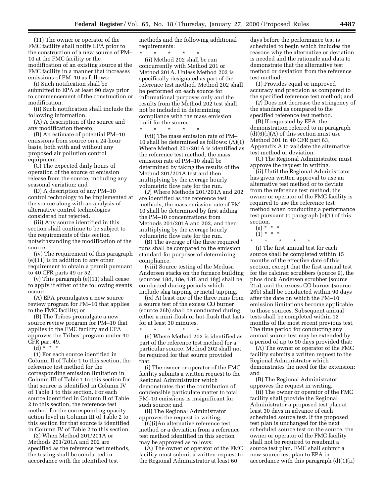(11) The owner or operator of the FMC facility shall notify EPA prior to the construction of a new source of PM– 10 at the FMC facility or the modification of an existing source at the FMC facility in a manner that increases emissions of PM–10 as follows:

(i) Such notification shall be submitted to EPA at least 90 days prior to commencement of the construction or modification.

(ii) Such notification shall include the following information:

(A) A description of the source and any modification thereto;

(B) An estimate of potential PM–10 emissions from source on a 24-hour basis, both with and without any proposed air pollution control equipment;

(C) The expected daily hours of operation of the source or emission release from the source, including any seasonal variation; and

(D) A description of any PM–10 control technology to be implemented at the source along with an analysis of alternative control technologies considered but rejected.

(iii) Any source identified in this section shall continue to be subject to the requirements of this section notwithstanding the modification of the source.

(iv) The requirement of this paragraph (e)(11) is in addition to any other requirement to obtain a permit pursuant to 40 CFR parts 49 or 52.

(v) This paragraph (e)(11) shall cease to apply if either of the following events occur:

(A) EPA promulgates a new source review program for PM–10 that applies to the FMC facility; or

(B) The Tribes promulgate a new source review program for PM–10 that applies to the FMC facility and EPA approves the Tribes' program under 40 CFR part 49.

(d) \* \* \*

(1) For each source identified in Column II of Table 1 to this section, the reference test method for the corresponding emission limitation in Column III of Table 1 to this section for that source is identified in Column IV of Table 1 to this section. For each source identified in Column II of Table 2 to this section, the reference test method for the corresponding opacity action level in Column III of Table 2 to this section for that source is identified in Column IV of Table 2 to this section.

(2) When Method 201/201A or Methods 201/201A and 202 are specified as the reference test methods, the testing shall be conducted in accordance with the identified test

methods and the following additional requirements:

\* \* \* \* \* (ii) Method 202 shall be run concurrently with Method 201 or Method 201A. Unless Method 202 is specifically designated as part of the reference test method, Method 202 shall be performed on each source for informational purposes only and the results from the Method 202 test shall not be included in determining compliance with the mass emission limit for the source.

\* \* \* \* \* (vii) The mass emission rate of PM– 10 shall be determined as follows: (A)(1) Where Method 201/201A is identified as the reference test method, the mass emission rate of PM–10 shall be determined by taking the results of the Method 201/201A test and then multiplying by the average hourly volumetric flow rate for the run.

(*2*) Where Methods 201/201A and 202 are identified as the reference test methods, the mass emission rate of PM– 10 shall be determined by first adding the PM–10 concentrations from Methods 201/201A and 202, and then multiplying by the average hourly volumetric flow rate for the run.

(B) The average of the three required runs shall be compared to the emission standard for purposes of determining compliance.

(viii) Source testing of the Medusa Andersen stacks on the furnace building (sources 18d, 18e, 18f, and 18g) shall be conducted during periods which include slag tapping or metal tapping.

(ix) At least one of the three runs from a source test of the excess CO burner (source 26b) shall be conducted during either a mini-flush or hot-flush that lasts for at least 30 minutes.

\* \* \* \* \* (5) Where Method 202 is identified as part of the reference test method for a particular source, Method 202 shall not be required for that source provided that:

(i) The owner or operator of the FMC facility submits a written request to the Regional Administrator which demonstrates that the contribution of condensible particulate matter to total PM–10 emissions is insignificant for such source; and

(ii) The Regional Administrator approves the request in writing.

(6)(i)An alternative reference test method or a deviation from a reference test method identified in this section may be approved as follows:

(A) The owner or operator of the FMC facility must submit a written request to the Regional Administrator at least 60

days before the performance test is scheduled to begin which includes the reasons why the alternative or deviation is needed and the rationale and data to demonstrate that the alternative test method or deviation from the reference test method:

(*1*) Provides equal or improved accuracy and precision as compared to the specified reference test method; and

(*2*) Does not decrease the stringency of the standard as compared to the specified reference test method.

(B) If requested by EPA, the demonstration referred to in paragraph  $(d)(6)(i)(A)$  of this section must use Method 301 in 40 CFR part 63, Appendix A to validate the alternative test method or deviation.

(C) The Regional Administrator must approve the request in writing.

(ii) Until the Regional Administrator has given written approval to use an alternative test method or to deviate from the reference test method, the owner or operator of the FMC facility is required to use the reference test method when conducting a performance test pursuant to paragraph (e)(1) of this section.

- (e) \* \* \*
- $(1) * * * *$
- \* \* \* \* \*

(i) The first annual test for each source shall be completed within 15 months of the effective date of this section, except that the first annual test for the calciner scrubbers (source 9), the phos dock Andersen scrubber (source 21a), and the excess CO burner (source 26b) shall be conducted within 90 days after the date on which the PM–10 emission limitations become applicable to those sources. Subsequent annual tests shall be completed within 12 months of the most recent previous test. The time period for conducting any annual source test may be extended by a period of up to 90 days provided that:

(A) The owner or operator of the FMC facility submits a written request to the Regional Administrator which demonstrates the need for the extension; and

(B) The Regional Administrator approves the request in writing.

(ii) The owner or operator of the FMC facility shall provide the Regional Administrator a proposed test plan at least 30 days in advance of each scheduled source test. If the proposed test plan is unchanged for the next scheduled source test on the source, the owner or operator of the FMC facility shall not be required to resubmit a source test plan. FMC shall submit a new source test plan to EPA in accordance with this paragraph (d)(1)(ii)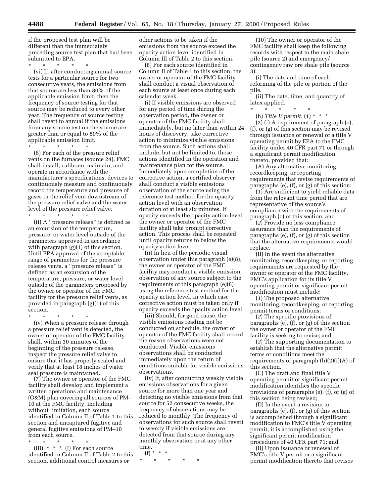if the proposed test plan will be different than the immediately preceding source test plan that had been submitted to EPA.

\* \* \* \* \*

(vi) If, after conducting annual source tests for a particular source for two consecutive years, the emissions from that source are less than 80% of the applicable emission limit, then the frequency of source testing for that source may be reduced to every other year. The frequency of source testing shall revert to annual if the emissions from any source test on the source are greater than or equal to 80% of the applicable emission limit.

\* \* \* \* \*

(6) For each of the pressure relief vents on the furnaces (source 24), FMC shall install, calibrate, maintain, and operate in accordance with the manufacturer's specifications, devices to continuously measure and continuously record the temperature and pressure of gases in the relief vent downstream of the pressure relief valve and the water level of the pressure relief valve.

 $\star$   $\star$   $\star$   $\star$ 

(ii) A ''pressure release'' is defined as an excursion of the temperature, pressure, or water level outside of the parameters approved in accordance with paragraph  $(g)(1)$  of this section. Until EPA approval of the acceptable range of parameters for the pressure release vents, a ''pressure release'' is defined as an excursion of the temperature, pressure, or water level outside of the parameters proposed by the owner or operator of the FMC facility for the pressure relief vents, as provided in paragraph (g)(1) of this section.

\* \* \* \* \*

(iv) When a pressure release through a pressure relief vent is detected, the owner or operator of the FMC facility shall, within 30 minutes of the beginning of the pressure release, inspect the pressure relief valve to ensure that it has properly sealed and verify that at least 18 inches of water seal pressure is maintained.

(7) The owner or operator of the FMC facility shall develop and implement a written operations and maintenance (O&M) plan covering all sources of PM– 10 at the FMC facility, including without limitation, each source identified in Column II of Table 1 to this section and uncaptured fugitive and general fugitive emissions of PM–10 from each source.

\* \* \* \* \*

(iii)\*\*\* (I) For each source identified in Column II of Table 2 to this section, additional control measures or

other actions to be taken if the emissions from the source exceed the opacity action level identified in Column III of Table 2 to this section.

(8) For each source identified in Column II of Table 1 to this section, the owner or operator of the FMC facility shall conduct a visual observation of each source at least once during each calendar week.

(i) If visible emissions are observed for any period of time during the observation period, the owner or operator of the FMC facility shall immediately, but no later than within 24 hours of discovery, take corrective action to minimize visible emissions from the source. Such actions shall include, but not be limited to, those actions identified in the operation and maintenance plan for the source. Immediately upon completion of the corrective action, a certified observer shall conduct a visible emissions observation of the source using the reference test method for the opacity action level with an observation duration of at least six minutes. If opacity exceeds the opacity action level, the owner or operator of the FMC facility shall take prompt corrective action. This process shall be repeated until opacity returns to below the opacity action level.

(ii) In lieu of the periodic visual observation under this paragraph (e)(8), the owner or operator of the FMC facility may conduct a visible emission observation of any source subject to the requirements of this paragraph (e)(8) using the reference test method for the opacity action level, in which case corrective action must be taken only if opacity exceeds the opacity action level.

(iii) Should, for good cause, the visible emissions reading not be conducted on schedule, the owner or operator of the FMC facility shall record the reason observations were not conducted. Visible emissions observations shall be conducted immediately upon the return of conditions suitable for visible emissions observations.

(iv) If, after conducting weekly visible emissions observations for a given source for more than one year and detecting no visible emissions from that source for 52 consecutive weeks, the frequency of observations may be reduced to monthly. The frequency of observations for such source shall revert to weekly if visible emissions are detected from that source during any monthly observation or at any other time.

 $(f) * *$ 

\* \* \* \* \*

(10) The owner or operator of the FMC facility shall keep the following records with respect to the main shale pile (source 2) and emergency/ contingency raw ore shale pile (source 3):

(i) The date and time of each reforming of the pile or portion of the pile.

(ii) The date, time, and quantity of latex applied.

\* \* \* \* \* (h) *Title V permit.* (1) \* \* \*

(2) (i) A requirement of paragraph (e), (f), or (g) of this section may be revised through issuance or renewal of a title V operating permit by EPA to the FMC facility under 40 CFR part 71 or through a significant permit modification thereto, provided that:

(A) Any alternative monitoring, recordkeeping, or reporting requirements that revise requirements of paragraphs (e), (f), or (g) of this section:

(*1*) Are sufficient to yield reliable data from the relevant time period that are representative of the source's compliance with the requirements of paragraph (c) of this section; and

(*2*) Provide no less compliance assurance than the requirements of paragraphs (e), (f), or (g) of this section that the alternative requirements would replace.

(B) In the event the alternative monitoring, recordkeeping, or reporting requirements are requested by the owner or operator of the FMC facility, FMC's application for its title V operating permit or significant permit modification must include:

(*1*) The proposed alternative monitoring, recordkeeping, or reporting permit terms or conditions;

(*2*) The specific provisions of paragraphs (e), (f), or (g) of this section the owner or operator of the FMC facility is seeking to revise; and

(*3*) The supporting documentation to establish that the alternative permit terms or conditions meet the requirements of paragraph (h)(2)(i)(A) of this section.

(C) The draft and final title V operating permit or significant permit modification identifies the specific provisions of paragraphs (e), (f), or (g) of this section being revised;

(D) In the event a revision to paragraphs (e), (f), or (g) of this section is accomplished through a significant modification to FMC's title V operating permit, it is accomplished using the significant permit modification procedures of 40 CFR part 71; and

(ii) Upon issuance or renewal of FMC's title V permit or a significant permit modification thereto that revises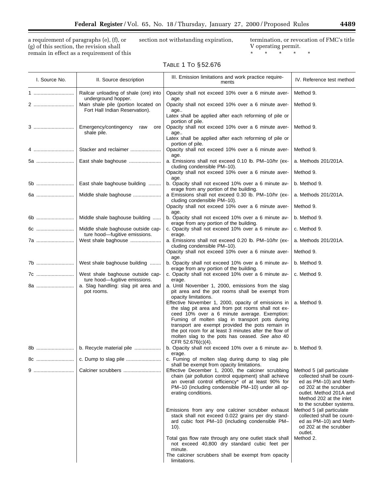a requirement of paragraphs (e), (f), or (g) of this section, the revision shall remain in effect as a requirement of this section not withstanding expiration, termination, or revocation of FMC's title

V operating permit.

\* \* \* \* \*

### TABLE 1 TO § 52.676

| I. Source No. | II. Source description                                                                       | III. Emission limitations and work practice require-<br>ments                                                                                                                                                                                                                                                                                                                                                                                                                                                                                  | IV. Reference test method                                                                                                                                                                    |
|---------------|----------------------------------------------------------------------------------------------|------------------------------------------------------------------------------------------------------------------------------------------------------------------------------------------------------------------------------------------------------------------------------------------------------------------------------------------------------------------------------------------------------------------------------------------------------------------------------------------------------------------------------------------------|----------------------------------------------------------------------------------------------------------------------------------------------------------------------------------------------|
|               | Railcar unloading of shale (ore) into                                                        | Opacity shall not exceed 10% over a 6 minute aver-                                                                                                                                                                                                                                                                                                                                                                                                                                                                                             | Method 9.                                                                                                                                                                                    |
| 2             | underground hopper.<br>Main shale pile (portion located on<br>Fort Hall Indian Reservation). | age.<br>Opacity shall not exceed 10% over a 6 minute aver-<br>age                                                                                                                                                                                                                                                                                                                                                                                                                                                                              | Method 9.                                                                                                                                                                                    |
| 3             | Emergency/contingency<br>raw<br>ore<br>shale pile.                                           | Latex shall be applied after each reforming of pile or<br>portion of pile.<br>Opacity shall not exceed 10% over a 6 minute aver-<br>age<br>Latex shall be applied after each reforming of pile or<br>portion of pile.                                                                                                                                                                                                                                                                                                                          | Method 9.                                                                                                                                                                                    |
| 4             | Stacker and reclaimer                                                                        | Opacity shall not exceed 10% over a 6 minute aver-                                                                                                                                                                                                                                                                                                                                                                                                                                                                                             | Method 9.                                                                                                                                                                                    |
| 5a            | East shale baghouse                                                                          | age.<br>a. Emissions shall not exceed 0.10 lb. PM-10/hr (ex-<br>cluding condensible PM-10).                                                                                                                                                                                                                                                                                                                                                                                                                                                    | a. Methods 201/201A.                                                                                                                                                                         |
|               |                                                                                              | Opacity shall not exceed 10% over a 6 minute aver-<br>age.                                                                                                                                                                                                                                                                                                                                                                                                                                                                                     | Method 9.                                                                                                                                                                                    |
| 5b            | East shale baghouse building                                                                 | b. Opacity shall not exceed 10% over a 6 minute av-<br>erage from any portion of the building.                                                                                                                                                                                                                                                                                                                                                                                                                                                 | b. Method 9.                                                                                                                                                                                 |
| 6a            | Middle shale baghouse                                                                        | a Emissions shall not exceed 0.30 lb. PM-10/hr (ex-<br>cluding condensible PM-10).                                                                                                                                                                                                                                                                                                                                                                                                                                                             | a. Methods 201/201A.                                                                                                                                                                         |
|               |                                                                                              | Opacity shall not exceed 10% over a 6 minute aver-<br>age.                                                                                                                                                                                                                                                                                                                                                                                                                                                                                     | Method 9.                                                                                                                                                                                    |
| 6b            | Middle shale baghouse building                                                               | b. Opacity shall not exceed 10% over a 6 minute av-<br>erage from any portion of the building.                                                                                                                                                                                                                                                                                                                                                                                                                                                 | b. Method 9.                                                                                                                                                                                 |
| 6c<br>7a      | Middle shale baghouse outside cap-<br>ture hood-fugitive emissions.<br>West shale baghouse   | c. Opacity shall not exceed 10% over a 6 minute av-<br>erage.<br>a. Emissions shall not exceed 0.20 lb. PM-10/hr (ex-                                                                                                                                                                                                                                                                                                                                                                                                                          | c. Method 9.<br>a. Methods 201/201A.                                                                                                                                                         |
|               |                                                                                              | cluding condensible PM-10).<br>Opacity shall not exceed 10% over a 6 minute aver-                                                                                                                                                                                                                                                                                                                                                                                                                                                              | Method 9.                                                                                                                                                                                    |
| 7b            | West shale baghouse building                                                                 | age.<br>b. Opacity shall not exceed 10% over a 6 minute av-                                                                                                                                                                                                                                                                                                                                                                                                                                                                                    | b. Method 9.                                                                                                                                                                                 |
| 7c            | West shale baghouse outside cap-                                                             | erage from any portion of the building.<br>c. Opacity shall not exceed 10% over a 6 minute av-                                                                                                                                                                                                                                                                                                                                                                                                                                                 | c. Method 9.                                                                                                                                                                                 |
| 8a            | ture hood-fugitive emissions.<br>a. Slag handling: slag pit area and<br>pot rooms.           | erage.<br>a. Until November 1, 2000, emissions from the slag<br>pit area and the pot rooms shall be exempt from<br>opacity limitations.<br>Effective November 1, 2000, opacity of emissions in<br>the slag pit area and from pot rooms shall not ex-<br>ceed 10% over a 6 minute average. Exemption:<br>Fuming of molten slag in transport pots during<br>transport are exempt provided the pots remain in<br>the pot room for at least 3 minutes after the flow of<br>molten slag to the pots has ceased. See also 40<br>CFR $52.676(c)(4)$ . | a. Method 9.                                                                                                                                                                                 |
|               | b. Recycle material pile                                                                     | b. Opacity shall not exceed 10% over a 6 minute av-<br>erage.                                                                                                                                                                                                                                                                                                                                                                                                                                                                                  | b. Method 9.                                                                                                                                                                                 |
| 8c            |                                                                                              | c. Fuming of molten slag during dump to slag pile<br>shall be exempt from opacity limitations.                                                                                                                                                                                                                                                                                                                                                                                                                                                 |                                                                                                                                                                                              |
|               | Calciner scrubbers                                                                           | Effective December 1, 2000, the calciner scrubbing<br>chain (air pollution control equipment) shall achieve<br>an overall control efficiency* of at least 90% for<br>PM-10 (including condensible PM-10) under all op-<br>erating conditions.                                                                                                                                                                                                                                                                                                  | Method 5 (all particulate<br>collected shall be count-<br>ed as PM-10) and Meth-<br>od 202 at the scrubber<br>outlet. Method 201A and<br>Method 202 at the inlet<br>to the scrubber systems. |
|               |                                                                                              | Emissions from any one calciner scrubber exhaust<br>stack shall not exceed 0.022 grains per dry stand-<br>ard cubic foot PM-10 (including condensible PM-<br>10).                                                                                                                                                                                                                                                                                                                                                                              | Method 5 (all particulate<br>collected shall be count-<br>ed as PM-10) and Meth-<br>od 202 at the scrubber<br>outlet.                                                                        |
|               |                                                                                              | Total gas flow rate through any one outlet stack shall<br>not exceed 40,800 dry standard cubic feet per<br>minute.                                                                                                                                                                                                                                                                                                                                                                                                                             | Method 2.                                                                                                                                                                                    |
|               |                                                                                              | The calciner scrubbers shall be exempt from opacity<br>limitations.                                                                                                                                                                                                                                                                                                                                                                                                                                                                            |                                                                                                                                                                                              |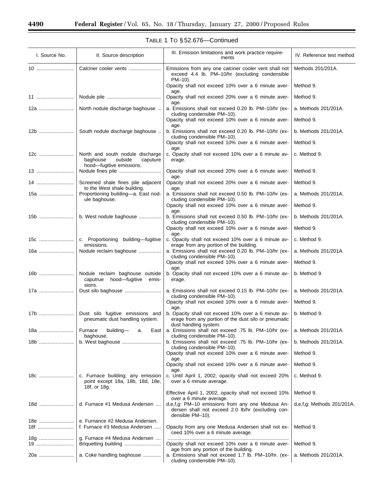۳

Ξ

| I. Source No. | II. Source description                                                                          | III. Emission limitations and work practice require-<br>ments                                                                        | IV. Reference test method  |
|---------------|-------------------------------------------------------------------------------------------------|--------------------------------------------------------------------------------------------------------------------------------------|----------------------------|
| 10            | Calciner cooler vents                                                                           | Emissions from any one calciner cooler vent shall not<br>exceed 4.4 lb. PM-10/hr (excluding condensible<br>PM-10).                   | Methods 201/201A.          |
|               |                                                                                                 | Opacity shall not exceed 10% over a 6 minute aver-                                                                                   | Method 9.                  |
| 11            |                                                                                                 | age.<br>Opacity shall not exceed 20% over a 6 minute aver-                                                                           | Method 9.                  |
| 12a           | North nodule discharge baghouse                                                                 | age.<br>a. Emissions shall not exceed 0.20 lb. PM-10/hr (ex-<br>cluding condensible PM-10).                                          | a. Methods 201/201A.       |
|               |                                                                                                 | Opacity shall not exceed 10% over a 6 minute aver-<br>age.                                                                           | Method 9.                  |
|               | South nodule discharge baghouse                                                                 | b. Emissions shall not exceed 0.20 lb. PM-10/hr (ex-<br>cluding condensible PM-10).                                                  | b. Methods 201/201A.       |
|               |                                                                                                 | Opacity shall not exceed 10% over a 6 minute aver-<br>age.                                                                           | Method 9.                  |
| 12c           | North and south nodule discharge<br>baghouse<br>outside<br>caputure<br>hood-fugitive emissions. | c. Opacity shall not exceed 10% over a 6 minute av-<br>erage.                                                                        | c. Method 9.               |
| 13            |                                                                                                 | Opacity shall not exceed 20% over a 6 minute aver-<br>age.                                                                           | Method 9.                  |
| 14            | Screened shale fines pile adjacent<br>to the West shale building.                               | Opacity shall not exceed 20% over a 6 minute aver-                                                                                   | Method 9.                  |
| 15a           | Proportioning building-a. East nod-<br>ule baghouse.                                            | age.<br>a. Emissions shall not exceed 0.50 lb. PM-10/hr (ex-<br>cluding condensible PM-10).                                          | a. Methods 201/201A.       |
|               |                                                                                                 | Opacity shall not exceed 10% over a 6 minute aver-<br>age.                                                                           | Method 9.                  |
| 15b           | b. West nodule baghouse                                                                         | b. Emissions shall not exceed 0.50 lb. PM-10/hr (ex-<br>cluding condensible PM-10).                                                  | b. Methods 201/201A.       |
|               |                                                                                                 | Opacity shall not exceed 10% over a 6 minute aver-<br>age.                                                                           | Method 9.                  |
| 15c           | c. Proportioning building-fugitive<br>emissions.                                                | c. Opacity shall not exceed 10% over a 6 minute av-<br>erage from any portion of the building.                                       | c. Method 9.               |
| 16a           | Nodule reclaim baghouse                                                                         | a. Emissions shall not exceed 0.20 lb. PM-10/hr (ex-<br>cluding condensible PM-10).                                                  | a. Methods 201/201A.       |
|               |                                                                                                 | Opacity shall not exceed 10% over a 6 minute aver-<br>age.                                                                           | Method 9.                  |
| 16b           | Nodule reclaim baghouse outside<br>caputrue<br>hood—fugitive<br>emis-<br>sions.                 | b. Opacity shall not exceed 10% over a 6 minute av-<br>erage.                                                                        | b. Method 9.               |
| 17a           |                                                                                                 | a. Emissions shall not exceed 0.15 lb. PM-10/hr (ex-<br>cluding condensible PM-10).                                                  | a. Methods 201/201A.       |
|               |                                                                                                 | Opacity shall not exceed 10% over a 6 minute aver-<br>age.                                                                           | Method 9.                  |
| 17b           | Dust silo fugitive emissions and<br>pneumatic dust handling system.                             | b. Opacity shall not exceed 10% over a 6 minute av-<br>erage from any portion of the dust silo or pneumatic<br>dust handling system. | b. Method 9.               |
| 18a           | building-<br>Furnace<br>a.<br>East $ $<br>baghouse.                                             | a. Emissions shall not exceed .75 lb. PM-10/hr (ex-<br>cluding condensible PM-10).                                                   | a. Methods 201/201A.       |
| 18b           | b. West baghouse                                                                                | b. Emissions shall not exceed .75 lb. PM-10/hr (ex-<br>cluding condensible PM-10).                                                   | b. Methods 201/201A.       |
|               |                                                                                                 | Opacity shall not exceed 10% over a 6 minute aver-<br>age.                                                                           | Method 9.                  |
|               |                                                                                                 | Opacity shall not exceed 10% over a 6 minute aver-<br>age.                                                                           | Method 9.                  |
| 18c           | c. Furnace building; any emission<br>point except 18a, 18b, 18d, 18e,<br>18f, or 18g.           | c. Until April 1, 2002, opacity shall not exceed 20%<br>over a 6 minute average.                                                     | c. Method 9.               |
|               |                                                                                                 | Effective April 1, 2002, opacity shall not exceed 10%<br>over a 6 minute average.                                                    | Method 9.                  |
| 18d           | d. Furnace #1 Medusa Andersen                                                                   | d,e,f,g: PM-10 emissions from any one Medusa An-<br>dersen shall not exceed 2.0 lb/hr (excluding con-<br>densible PM-10).            | d,e,f,g: Methods 201/201A. |
| 18e<br>18f    | e. Furnance #2 Medusa Andersen.<br>f. Furnace #3 Medusa Andersen                                | Opacity from any one Medusa Andersen shall not ex-<br>ceed 10% over a 6 minute average.                                              | Method 9.                  |
| 18g<br>19     | g. Furnace #4 Medusa Andersen<br>Briquetting building                                           | Opacity shall not exceed 10% over a 6 minute aver-                                                                                   | Method 9.                  |
| 20a           | a. Coke handling baghouse                                                                       | age from any portion of the building.<br>a. Emissions shall not exceed 1.7 lb. PM-10/hr. (ex-<br>cluding condensible PM-10).         | a. Methods 201/201A.       |

### TABLE 1 TO § 52.676—Continued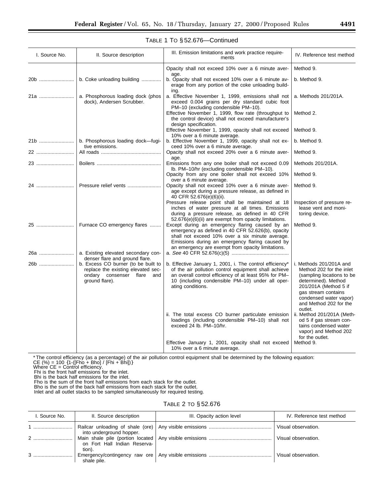| I. Source No. | II. Source description                                                                                                       | III. Emission limitations and work practice require-<br>ments                                                                                                                                                                                                   | IV. Reference test method                                                                                                                                                                                              |
|---------------|------------------------------------------------------------------------------------------------------------------------------|-----------------------------------------------------------------------------------------------------------------------------------------------------------------------------------------------------------------------------------------------------------------|------------------------------------------------------------------------------------------------------------------------------------------------------------------------------------------------------------------------|
|               |                                                                                                                              | Opacity shall not exceed 10% over a 6 minute aver-                                                                                                                                                                                                              | Method 9.                                                                                                                                                                                                              |
| 20b           | b. Coke unloading building                                                                                                   | age.<br>b. Opacity shall not exceed 10% over a 6 minute av-<br>erage from any portion of the coke unloading build-<br>ing.                                                                                                                                      | b. Method 9.                                                                                                                                                                                                           |
| 21a           | a. Phosphorous loading dock (phos<br>dock), Andersen Scrubber.                                                               | a. Effective November 1, 1999, emissions shall not<br>exceed 0.004 grains per dry standard cubic foot                                                                                                                                                           | a. Methods 201/201A.                                                                                                                                                                                                   |
|               |                                                                                                                              | PM-10 (excluding condensible PM-10).<br>Effective November 1, 1999, flow rate (throughput to<br>the control device) shall not exceed manufacturer's<br>design specification.                                                                                    | Method 2.                                                                                                                                                                                                              |
|               |                                                                                                                              | Effective November 1, 1999, opacity shall not exceed<br>10% over a 6 minute average.                                                                                                                                                                            | Method 9.                                                                                                                                                                                                              |
| 21b           | b. Phosphorous loading dock-fugi-<br>tive emissions.                                                                         | b. Effective November 1, 1999, opacity shall not ex-<br>ceed 10% over a 6 minute average.                                                                                                                                                                       | b. Method 9.                                                                                                                                                                                                           |
| 22            |                                                                                                                              | Opacity shall not exceed 20% over a 6 minute aver-<br>age.                                                                                                                                                                                                      | Method 9.                                                                                                                                                                                                              |
| 23            |                                                                                                                              | Emissions from any one boiler shall not exceed 0.09<br>Ib. PM-10/hr (excluding condensible PM-10).                                                                                                                                                              | Methods 201/201A.                                                                                                                                                                                                      |
|               |                                                                                                                              | Opacity from any one boiler shall not exceed 10%<br>over a 6 minute average.                                                                                                                                                                                    | Method 9.                                                                                                                                                                                                              |
| 24            | Pressure relief vents                                                                                                        | Opacity shall not exceed 10% over a 6 minute aver-<br>age except during a pressure release, as defined in<br>40 CFR 52.676(e)(6)(ii).                                                                                                                           | Method 9.                                                                                                                                                                                                              |
|               |                                                                                                                              | Pressure release point shall be maintained at 18<br>inches of water pressure at all times. Emissions<br>during a pressure release, as defined in 40 CFR<br>52.676(e)(6)(ii) are exempt from opacity limitations.                                                | Inspection of pressure re-<br>lease vent and moni-<br>toring device.                                                                                                                                                   |
| 25            | Furnace CO emergency flares                                                                                                  | Except during an emergency flaring caused by an<br>emergency as defined in 40 CFR 52.626(b), opacity<br>shall not exceed 10% over a six minute average.<br>Emissions during an emergency flaring caused by<br>an emergency are exempt from opacity limitations. | Method 9.                                                                                                                                                                                                              |
| 26a           | a. Existing elevated secondary con-<br>denser flare and ground flare.                                                        |                                                                                                                                                                                                                                                                 |                                                                                                                                                                                                                        |
| 26b           | b. Excess CO burner (to be built to<br>replace the existing elevated sec-<br>ondary consenser flare<br>and<br>ground flare). | b. Effective January 1, 2001, i. The control efficiency*<br>of the air pollution control equipment shall achieve<br>an overall control efficiency of at least 95% for PM-<br>10 (including condensible PM-10) under all oper-<br>ating conditions.              | i. Methods 201/201A and<br>Method 202 for the inlet<br>(sampling locations to be<br>determined). Method<br>201/201A (Method 5 if<br>gas stream contains<br>condensed water vapor)<br>and Method 202 for the<br>outlet. |
|               |                                                                                                                              | ii. The total excess CO burner particulate emission<br>loadings (including condensible PM-10) shall not<br>exceed 24 lb. PM-10/hr.                                                                                                                              | ii. Method 201/201A (Meth-<br>od 5 if gas stream con-<br>tains condensed water<br>vapor) and Method 202<br>for the outlet.                                                                                             |
|               |                                                                                                                              | Effective January 1, 2001, opacity shall not exceed<br>10% over a 6 minute average.                                                                                                                                                                             | Method 9.                                                                                                                                                                                                              |

#### TABLE 1 TO § 52.676—Continued

\* The control efficiency (as a percentage) of the air pollution control equipment shall be determined by the following equation:<br>CE (%) = 100 {1-([Fho + Bho] / [Fhi + Bhi])}<br>Where CE = Control efficiency.<br>Fhi is the front

Fho is the sum of the front half emissions from each stack for the outlet. Bho is the sum of the back half emissions from each stack for the outlet.

Inlet and all outlet stacks to be sampled simultaneously for required testing.

### TABLE 2 TO § 52.676

| I. Source No. | II. Source description       | III. Opacity action level | IV. Reference test method |
|---------------|------------------------------|---------------------------|---------------------------|
|               | into underground hopper.     |                           | Visual observation.       |
|               | on Fort Hall Indian Reserva- |                           | Visual observation.       |
|               | tion).<br>shale pile.        |                           | Visual observation.       |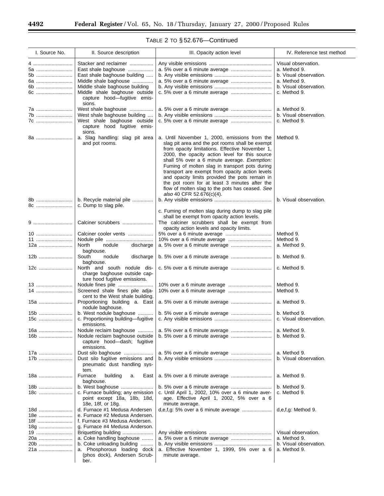| TABLE 2 TO §52.676-Continued |  |  |
|------------------------------|--|--|
|------------------------------|--|--|

L

| I. Source No.                   | II. Source description                                                                                                                                                                                            | III. Opacity action level                                                                                                                                                                                                                                                                                                                                                                                                                                                                                                                     | IV. Reference test method                                                                                               |
|---------------------------------|-------------------------------------------------------------------------------------------------------------------------------------------------------------------------------------------------------------------|-----------------------------------------------------------------------------------------------------------------------------------------------------------------------------------------------------------------------------------------------------------------------------------------------------------------------------------------------------------------------------------------------------------------------------------------------------------------------------------------------------------------------------------------------|-------------------------------------------------------------------------------------------------------------------------|
| 4<br>5a<br>5b<br>6a<br>6b<br>6c | Stacker and reclaimer<br>East shale baghouse<br>East shale baghouse building<br>Middle shale baghouse<br>Middle shale baghouse building<br>Middle shale baghouse outside<br>capture hood-fugitive emis-<br>sions. | a. 5% over a 6 minute average                                                                                                                                                                                                                                                                                                                                                                                                                                                                                                                 | Visual observation.<br>a. Method 9.<br>b. Visual observation.<br>a. Method 9.<br>b. Visual observation.<br>c. Method 9. |
| 7a<br>7b<br>7c                  | West shale baghouse<br>West shale baghouse building<br>West shale baghouse outside<br>capture hood fugitive emis-<br>sions.                                                                                       |                                                                                                                                                                                                                                                                                                                                                                                                                                                                                                                                               | a. Method 9.<br>b. Visual observation.<br>c. Method 9.                                                                  |
| 8a                              | a. Slag handling: slag pit area<br>and pot rooms.                                                                                                                                                                 | a. Until November 1, 2000, emissions from the<br>slag pit area and the pot rooms shall be exempt<br>from opacity limitations. Effective November 1,<br>2000, the opacity action level for this source<br>shall 5% over a 6 minute average. Exemption:<br>Fuming of molten slag in transport pots during<br>transport are exempt from opacity action levels<br>and opacity limits provided the pots remain in<br>the pot room for at least 3 minutes after the<br>flow of molten slag to the pots has ceased. See<br>also 40 CFR 52.676(c)(4). | Method 9.                                                                                                               |
| 8b<br>8c                        | b. Recycle material pile<br>c. Dump to slag pile.                                                                                                                                                                 |                                                                                                                                                                                                                                                                                                                                                                                                                                                                                                                                               | b. Visual observation.                                                                                                  |
|                                 | Calciner scrubbers                                                                                                                                                                                                | c. Fuming of molten slag during dump to slag pile<br>shall be exempt from opacity action levels.<br>The calciner scrubbers shall be exempt from<br>opacity action levels and opacity limits.                                                                                                                                                                                                                                                                                                                                                  |                                                                                                                         |
| 10                              | Calciner cooler vents                                                                                                                                                                                             |                                                                                                                                                                                                                                                                                                                                                                                                                                                                                                                                               | Method 9.                                                                                                               |
| 11<br>12a                       | North<br>nodule<br>discharge                                                                                                                                                                                      |                                                                                                                                                                                                                                                                                                                                                                                                                                                                                                                                               | Method 9.<br>a. Method 9.                                                                                               |
| 12b                             | baghouse.<br>South<br>discharge<br>nodule                                                                                                                                                                         |                                                                                                                                                                                                                                                                                                                                                                                                                                                                                                                                               | b. Method 9.                                                                                                            |
| 12c                             | baghouse.<br>North and south nodule dis-<br>charge baghouse outside cap-<br>ture hood fugitive emissions.                                                                                                         |                                                                                                                                                                                                                                                                                                                                                                                                                                                                                                                                               | c. Method 9.                                                                                                            |
| 13<br>14                        | Screened shale fines pile adja-<br>cent to the West shale building.                                                                                                                                               |                                                                                                                                                                                                                                                                                                                                                                                                                                                                                                                                               | Method 9.<br>Method 9.                                                                                                  |
| 15a                             | Proportioning building a. East<br>nodule baghouse.                                                                                                                                                                | a. 5% over a 6 minute average                                                                                                                                                                                                                                                                                                                                                                                                                                                                                                                 | a. Method 9.                                                                                                            |
| 15b<br>15c                      | b. West nodule baghouse<br>c. Proportioning building-fugitive                                                                                                                                                     |                                                                                                                                                                                                                                                                                                                                                                                                                                                                                                                                               | b. Method 9.<br>c. Visual observation.                                                                                  |
| 16a                             | emissions.<br>Nodule reclaim baghouse                                                                                                                                                                             |                                                                                                                                                                                                                                                                                                                                                                                                                                                                                                                                               | a. Method 9.                                                                                                            |
| 16b                             | Nodule reclaim baghouse outside<br>capture hood-dash; fugitive<br>emissions.                                                                                                                                      |                                                                                                                                                                                                                                                                                                                                                                                                                                                                                                                                               | b. Method 9.                                                                                                            |
| 17a                             | Dust silo baghouse                                                                                                                                                                                                |                                                                                                                                                                                                                                                                                                                                                                                                                                                                                                                                               | a. Method 9.                                                                                                            |
| 17b                             | Dust silo fugitive emissions and<br>pneumatic dust handling sys-<br>tem.                                                                                                                                          |                                                                                                                                                                                                                                                                                                                                                                                                                                                                                                                                               | b. Visual observation.                                                                                                  |
| 18a                             | Furnace<br>building<br>East<br>a.<br>baghouse.                                                                                                                                                                    | a. 5% over a 6 minute average                                                                                                                                                                                                                                                                                                                                                                                                                                                                                                                 | a. Method 9.                                                                                                            |
| 18b                             | b. West baghouse                                                                                                                                                                                                  |                                                                                                                                                                                                                                                                                                                                                                                                                                                                                                                                               | b. Method 9.                                                                                                            |
| 18c                             | c. Furnace building; any emission<br>point except 18a, 18b, 18d,<br>18e, 18f, or 18g.                                                                                                                             | c. Until April 1, 2002, 10% over a 6 minute aver-<br>age. Effective April 1, 2002, 5% over a 6<br>minute average.                                                                                                                                                                                                                                                                                                                                                                                                                             | c. Method 9.                                                                                                            |
| 18d<br>18e<br>18f<br>18g        | d. Furnace #1 Medusa Andersen<br>e. Furnace #2 Medusa Andersen.<br>f. Furnace #3 Medusa Andersen.<br>g. Furnace #4 Medusa Anderson.                                                                               |                                                                                                                                                                                                                                                                                                                                                                                                                                                                                                                                               | d,e,f,g: Method 9.                                                                                                      |
| 19<br>20a<br>20b<br>21a         | Briquetting building<br>a. Coke handling baghouse<br>b. Coke unloading building<br>a. Phosphorous loading dock                                                                                                    | a. Effective November 1, 1999, 5% over a 6                                                                                                                                                                                                                                                                                                                                                                                                                                                                                                    | Visual observation.<br>a. Method 9.<br>b. Visual observation.<br>a. Method 9.                                           |
|                                 | (phos dock), Andersen Scrub-<br>ber.                                                                                                                                                                              | minute average.                                                                                                                                                                                                                                                                                                                                                                                                                                                                                                                               |                                                                                                                         |

Ξ